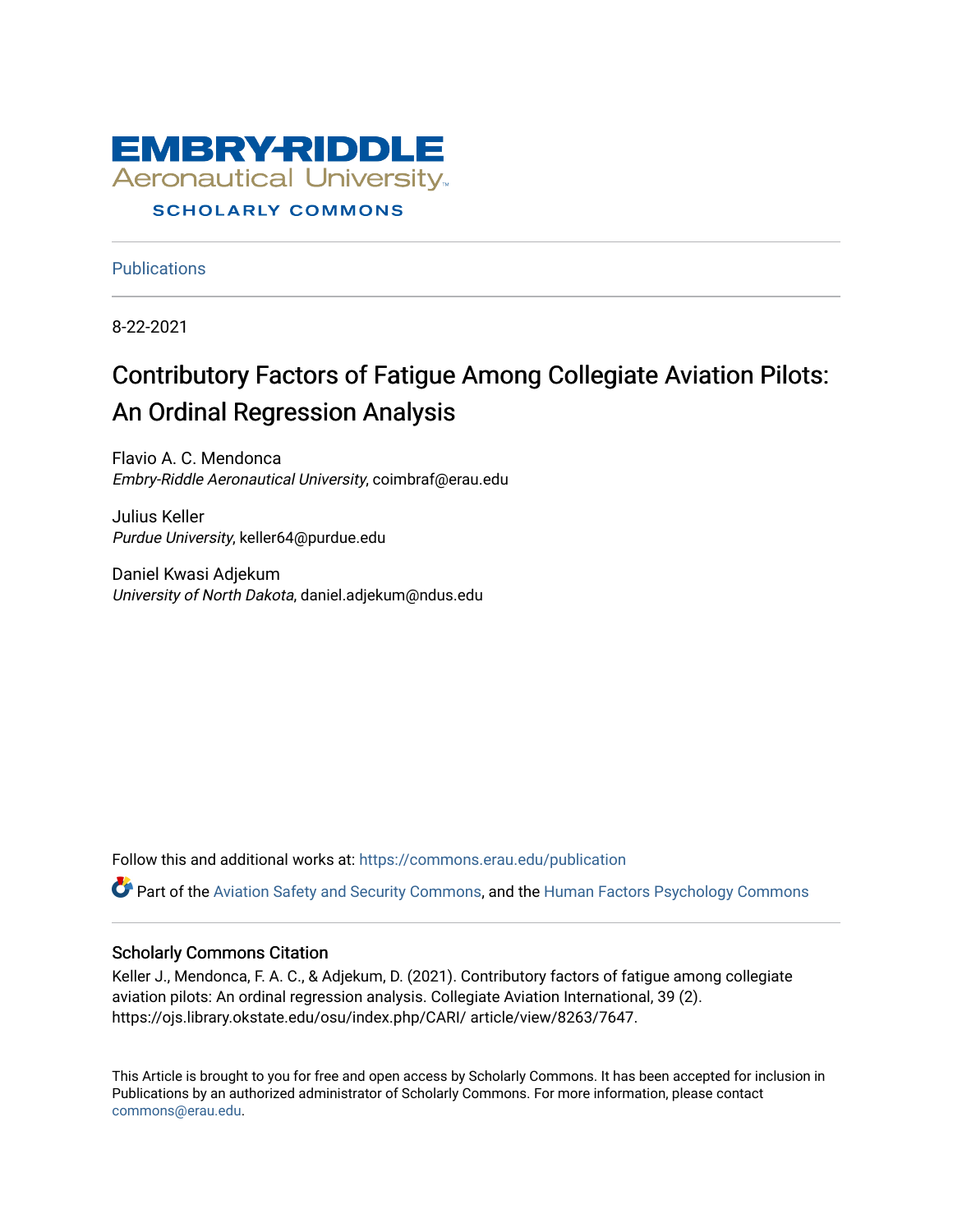

#### **SCHOLARLY COMMONS**

**Publications** 

8-22-2021

## Contributory Factors of Fatigue Among Collegiate Aviation Pilots: An Ordinal Regression Analysis

Flavio A. C. Mendonca Embry-Riddle Aeronautical University, coimbraf@erau.edu

Julius Keller Purdue University, keller64@purdue.edu

Daniel Kwasi Adjekum University of North Dakota, daniel.adjekum@ndus.edu

Follow this and additional works at: [https://commons.erau.edu/publication](https://commons.erau.edu/publication?utm_source=commons.erau.edu%2Fpublication%2F1692&utm_medium=PDF&utm_campaign=PDFCoverPages) 

Part of the [Aviation Safety and Security Commons,](http://network.bepress.com/hgg/discipline/1320?utm_source=commons.erau.edu%2Fpublication%2F1692&utm_medium=PDF&utm_campaign=PDFCoverPages) and the [Human Factors Psychology Commons](http://network.bepress.com/hgg/discipline/1412?utm_source=commons.erau.edu%2Fpublication%2F1692&utm_medium=PDF&utm_campaign=PDFCoverPages) 

#### Scholarly Commons Citation

Keller J., Mendonca, F. A. C., & Adjekum, D. (2021). Contributory factors of fatigue among collegiate aviation pilots: An ordinal regression analysis. Collegiate Aviation International, 39 (2). https://ojs.library.okstate.edu/osu/index.php/CARI/ article/view/8263/7647.

This Article is brought to you for free and open access by Scholarly Commons. It has been accepted for inclusion in Publications by an authorized administrator of Scholarly Commons. For more information, please contact [commons@erau.edu](mailto:commons@erau.edu).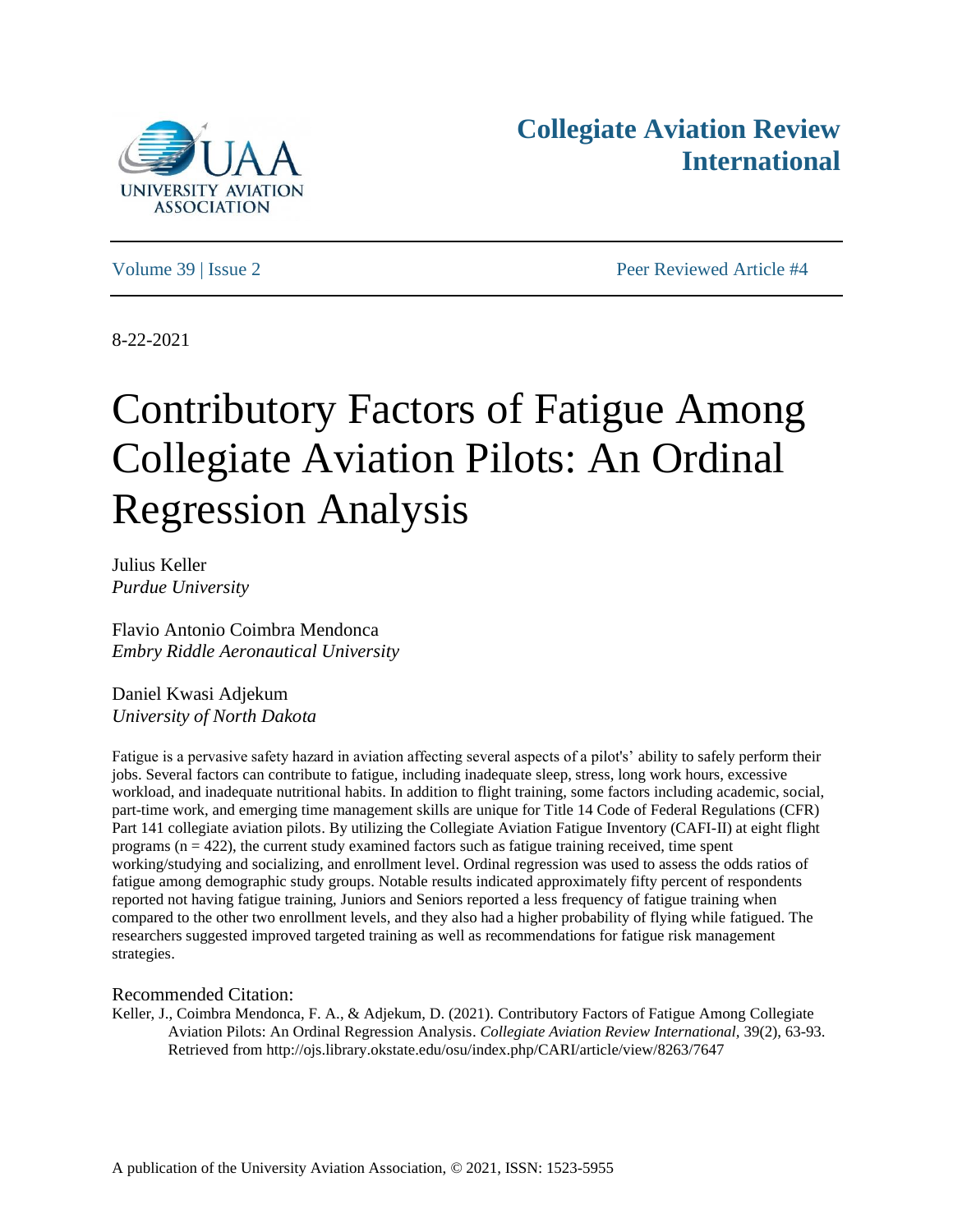

## **Collegiate Aviation Review International**

Volume 39 | Issue 2 Peer Reviewed Article #4

8-22-2021

# Contributory Factors of Fatigue Among Collegiate Aviation Pilots: An Ordinal Regression Analysis

Julius Keller *Purdue University*

Flavio Antonio Coimbra Mendonca *Embry Riddle Aeronautical University*

Daniel Kwasi Adjekum *University of North Dakota*

Fatigue is a pervasive safety hazard in aviation affecting several aspects of a pilot's' ability to safely perform their jobs. Several factors can contribute to fatigue, including inadequate sleep, stress, long work hours, excessive workload, and inadequate nutritional habits. In addition to flight training, some factors including academic, social, part-time work, and emerging time management skills are unique for Title 14 Code of Federal Regulations (CFR) Part 141 collegiate aviation pilots. By utilizing the Collegiate Aviation Fatigue Inventory (CAFI-II) at eight flight programs  $(n = 422)$ , the current study examined factors such as fatigue training received, time spent working/studying and socializing, and enrollment level. Ordinal regression was used to assess the odds ratios of fatigue among demographic study groups. Notable results indicated approximately fifty percent of respondents reported not having fatigue training, Juniors and Seniors reported a less frequency of fatigue training when compared to the other two enrollment levels, and they also had a higher probability of flying while fatigued. The researchers suggested improved targeted training as well as recommendations for fatigue risk management strategies.

#### Recommended Citation:

Keller, J., Coimbra Mendonca, F. A., & Adjekum, D. (2021). Contributory Factors of Fatigue Among Collegiate Aviation Pilots: An Ordinal Regression Analysis. *Collegiate Aviation Review International,* 39(2), 63-93. Retrieved from http://ojs.library.okstate.edu/osu/index.php/CARI/article/view/8263/7647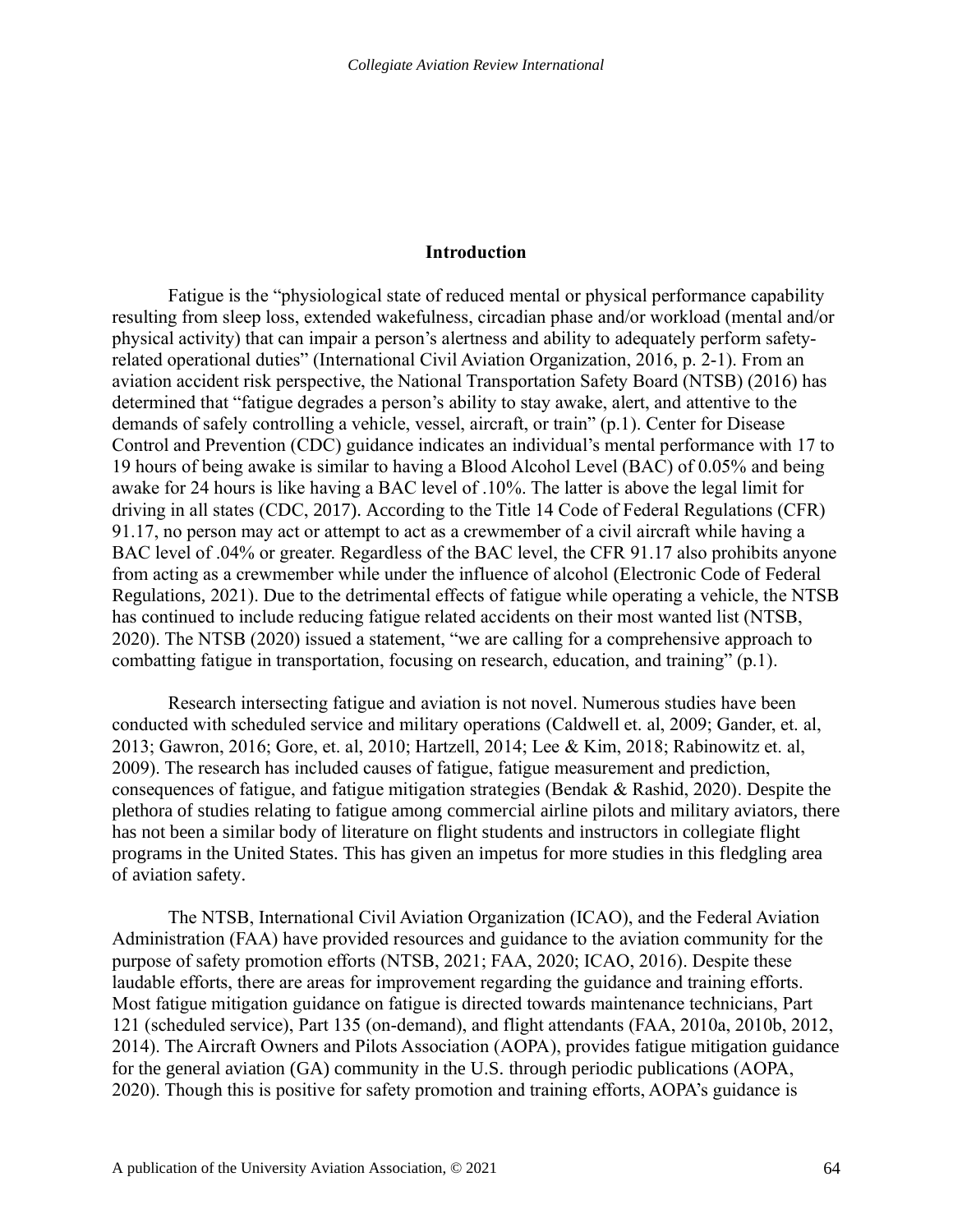#### **Introduction**

Fatigue is the "physiological state of reduced mental or physical performance capability resulting from sleep loss, extended wakefulness, circadian phase and/or workload (mental and/or physical activity) that can impair a person's alertness and ability to adequately perform safetyrelated operational duties" (International Civil Aviation Organization, 2016, p. 2-1). From an aviation accident risk perspective, the National Transportation Safety Board (NTSB) (2016) has determined that "fatigue degrades a person's ability to stay awake, alert, and attentive to the demands of safely controlling a vehicle, vessel, aircraft, or train" (p.1). Center for Disease Control and Prevention (CDC) guidance indicates an individual's mental performance with 17 to 19 hours of being awake is similar to having a Blood Alcohol Level (BAC) of 0.05% and being awake for 24 hours is like having a BAC level of .10%. The latter is above the legal limit for driving in all states (CDC, 2017). According to the Title 14 Code of Federal Regulations (CFR) 91.17, no person may act or attempt to act as a crewmember of a civil aircraft while having a BAC level of .04% or greater. Regardless of the BAC level, the CFR 91.17 also prohibits anyone from acting as a crewmember while under the influence of alcohol (Electronic Code of Federal Regulations, 2021). Due to the detrimental effects of fatigue while operating a vehicle, the NTSB has continued to include reducing fatigue related accidents on their most wanted list (NTSB, 2020). The NTSB (2020) issued a statement, "we are calling for a comprehensive approach to combatting fatigue in transportation, focusing on research, education, and training" (p.1).

Research intersecting fatigue and aviation is not novel. Numerous studies have been conducted with scheduled service and military operations (Caldwell et. al, 2009; Gander, et. al, 2013; Gawron, 2016; Gore, et. al, 2010; Hartzell, 2014; Lee & Kim, 2018; Rabinowitz et. al, 2009). The research has included causes of fatigue, fatigue measurement and prediction, consequences of fatigue, and fatigue mitigation strategies (Bendak & Rashid, 2020). Despite the plethora of studies relating to fatigue among commercial airline pilots and military aviators, there has not been a similar body of literature on flight students and instructors in collegiate flight programs in the United States. This has given an impetus for more studies in this fledgling area of aviation safety.

The NTSB, International Civil Aviation Organization (ICAO), and the Federal Aviation Administration (FAA) have provided resources and guidance to the aviation community for the purpose of safety promotion efforts (NTSB, 2021; FAA, 2020; ICAO, 2016). Despite these laudable efforts, there are areas for improvement regarding the guidance and training efforts. Most fatigue mitigation guidance on fatigue is directed towards maintenance technicians, Part 121 (scheduled service), Part 135 (on-demand), and flight attendants (FAA, 2010a, 2010b, 2012, 2014). The Aircraft Owners and Pilots Association (AOPA), provides fatigue mitigation guidance for the general aviation (GA) community in the U.S. through periodic publications (AOPA, 2020). Though this is positive for safety promotion and training efforts, AOPA's guidance is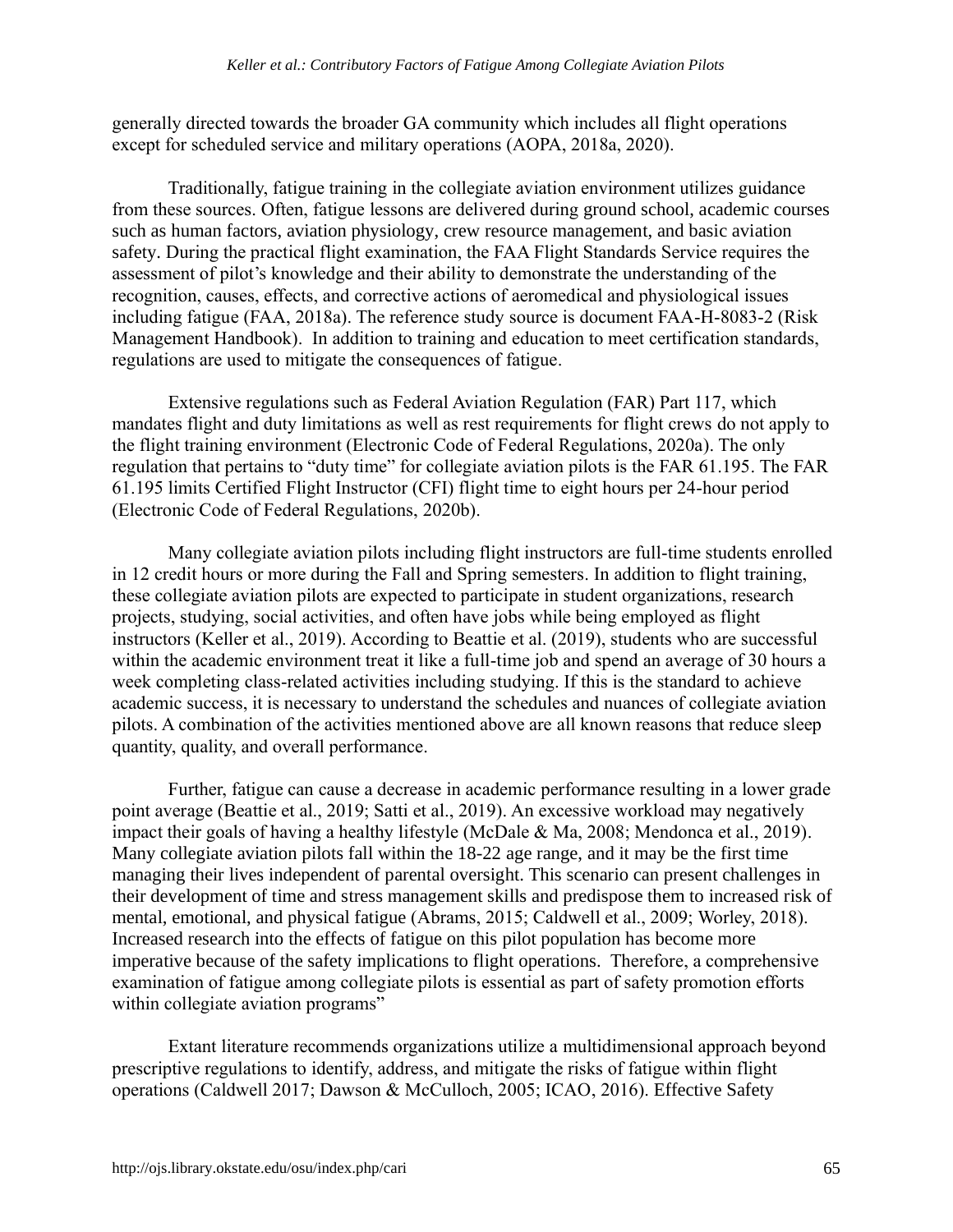generally directed towards the broader GA community which includes all flight operations except for scheduled service and military operations (AOPA, 2018a, 2020).

Traditionally, fatigue training in the collegiate aviation environment utilizes guidance from these sources. Often, fatigue lessons are delivered during ground school, academic courses such as human factors, aviation physiology, crew resource management, and basic aviation safety. During the practical flight examination, the FAA Flight Standards Service requires the assessment of pilot's knowledge and their ability to demonstrate the understanding of the recognition, causes, effects, and corrective actions of aeromedical and physiological issues including fatigue (FAA, 2018a). The reference study source is document FAA-H-8083-2 (Risk Management Handbook). In addition to training and education to meet certification standards, regulations are used to mitigate the consequences of fatigue.

Extensive regulations such as Federal Aviation Regulation (FAR) Part 117, which mandates flight and duty limitations as well as rest requirements for flight crews do not apply to the flight training environment (Electronic Code of Federal Regulations, 2020a). The only regulation that pertains to "duty time" for collegiate aviation pilots is the FAR 61.195. The FAR 61.195 limits Certified Flight Instructor (CFI) flight time to eight hours per 24-hour period (Electronic Code of Federal Regulations, 2020b).

Many collegiate aviation pilots including flight instructors are full-time students enrolled in 12 credit hours or more during the Fall and Spring semesters. In addition to flight training, these collegiate aviation pilots are expected to participate in student organizations, research projects, studying, social activities, and often have jobs while being employed as flight instructors (Keller et al., 2019). According to Beattie et al. (2019), students who are successful within the academic environment treat it like a full-time job and spend an average of 30 hours a week completing class-related activities including studying. If this is the standard to achieve academic success, it is necessary to understand the schedules and nuances of collegiate aviation pilots. A combination of the activities mentioned above are all known reasons that reduce sleep quantity, quality, and overall performance.

Further, fatigue can cause a decrease in academic performance resulting in a lower grade point average (Beattie et al., 2019; Satti et al., 2019). An excessive workload may negatively impact their goals of having a healthy lifestyle (McDale & Ma, 2008; Mendonca et al., 2019). Many collegiate aviation pilots fall within the 18-22 age range, and it may be the first time managing their lives independent of parental oversight. This scenario can present challenges in their development of time and stress management skills and predispose them to increased risk of mental, emotional, and physical fatigue (Abrams, 2015; Caldwell et al., 2009; Worley, 2018). Increased research into the effects of fatigue on this pilot population has become more imperative because of the safety implications to flight operations. Therefore, a comprehensive examination of fatigue among collegiate pilots is essential as part of safety promotion efforts within collegiate aviation programs"

Extant literature recommends organizations utilize a multidimensional approach beyond prescriptive regulations to identify, address, and mitigate the risks of fatigue within flight operations (Caldwell 2017; Dawson & McCulloch, 2005; ICAO, 2016). Effective Safety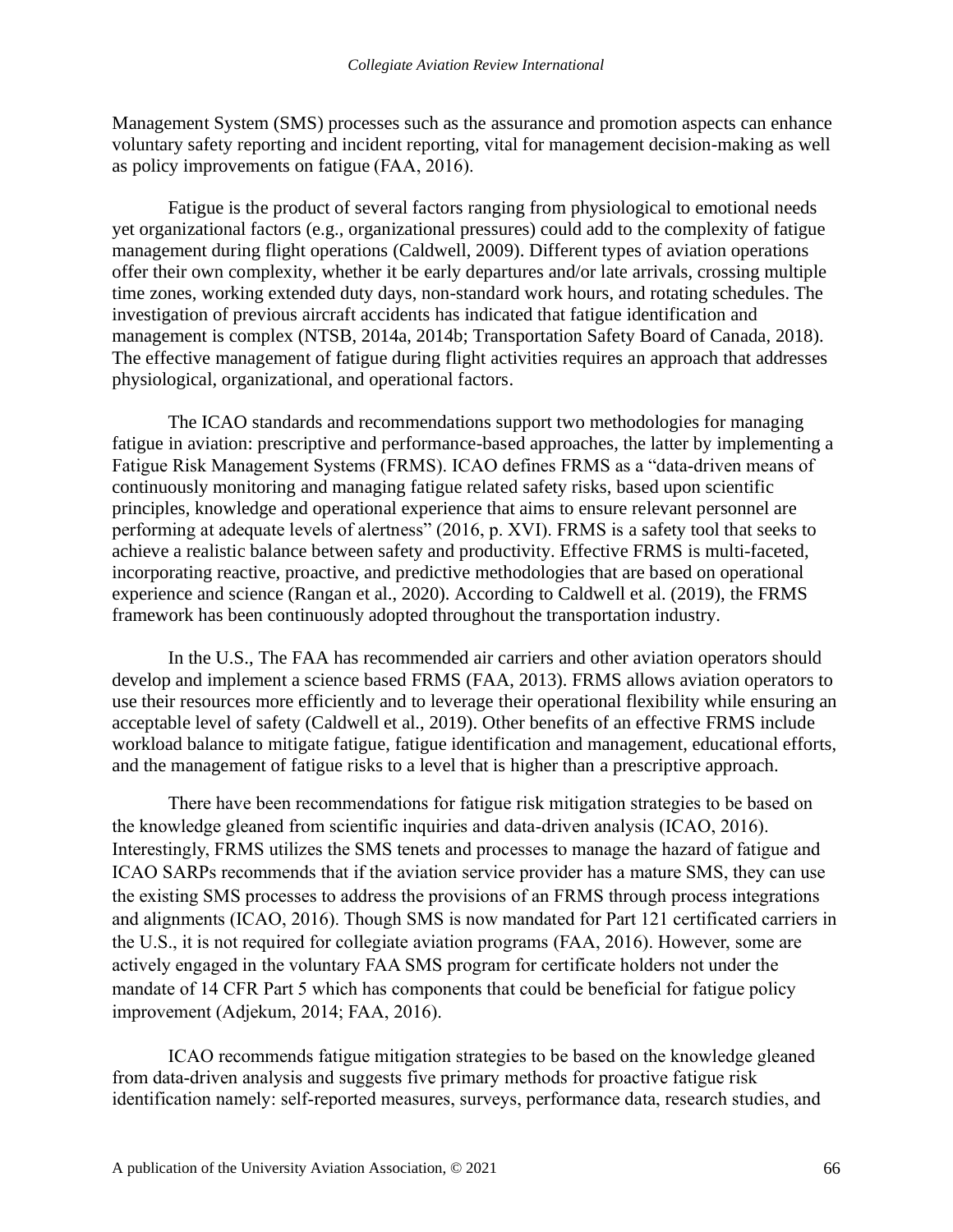Management System (SMS) processes such as the assurance and promotion aspects can enhance voluntary safety reporting and incident reporting, vital for management decision-making as well as policy improvements on fatigue (FAA, 2016).

Fatigue is the product of several factors ranging from physiological to emotional needs yet organizational factors (e.g., organizational pressures) could add to the complexity of fatigue management during flight operations (Caldwell, 2009). Different types of aviation operations offer their own complexity, whether it be early departures and/or late arrivals, crossing multiple time zones, working extended duty days, non-standard work hours, and rotating schedules. The investigation of previous aircraft accidents has indicated that fatigue identification and management is complex (NTSB, 2014a, 2014b; Transportation Safety Board of Canada, 2018). The effective management of fatigue during flight activities requires an approach that addresses physiological, organizational, and operational factors.

The ICAO standards and recommendations support two methodologies for managing fatigue in aviation: prescriptive and performance-based approaches, the latter by implementing a Fatigue Risk Management Systems (FRMS). ICAO defines FRMS as a "data‐driven means of continuously monitoring and managing fatigue related safety risks, based upon scientific principles, knowledge and operational experience that aims to ensure relevant personnel are performing at adequate levels of alertness" (2016, p. XVI). FRMS is a safety tool that seeks to achieve a realistic balance between safety and productivity. Effective FRMS is multi-faceted, incorporating reactive, proactive, and predictive methodologies that are based on operational experience and science (Rangan et al., 2020). According to Caldwell et al. (2019), the FRMS framework has been continuously adopted throughout the transportation industry.

In the U.S., The FAA has recommended air carriers and other aviation operators should develop and implement a science based FRMS (FAA, 2013). FRMS allows aviation operators to use their resources more efficiently and to leverage their operational flexibility while ensuring an acceptable level of safety (Caldwell et al., 2019). Other benefits of an effective FRMS include workload balance to mitigate fatigue, fatigue identification and management, educational efforts, and the management of fatigue risks to a level that is higher than a prescriptive approach.

There have been recommendations for fatigue risk mitigation strategies to be based on the knowledge gleaned from scientific inquiries and data-driven analysis (ICAO, 2016). Interestingly, FRMS utilizes the SMS tenets and processes to manage the hazard of fatigue and ICAO SARPs recommends that if the aviation service provider has a mature SMS, they can use the existing SMS processes to address the provisions of an FRMS through process integrations and alignments (ICAO, 2016). Though SMS is now mandated for Part 121 certificated carriers in the U.S., it is not required for collegiate aviation programs (FAA, 2016). However, some are actively engaged in the voluntary FAA SMS program for certificate holders not under the mandate of 14 CFR Part 5 which has components that could be beneficial for fatigue policy improvement (Adjekum, 2014; FAA, 2016).

ICAO recommends fatigue mitigation strategies to be based on the knowledge gleaned from data-driven analysis and suggests five primary methods for proactive fatigue risk identification namely: self-reported measures, surveys, performance data, research studies, and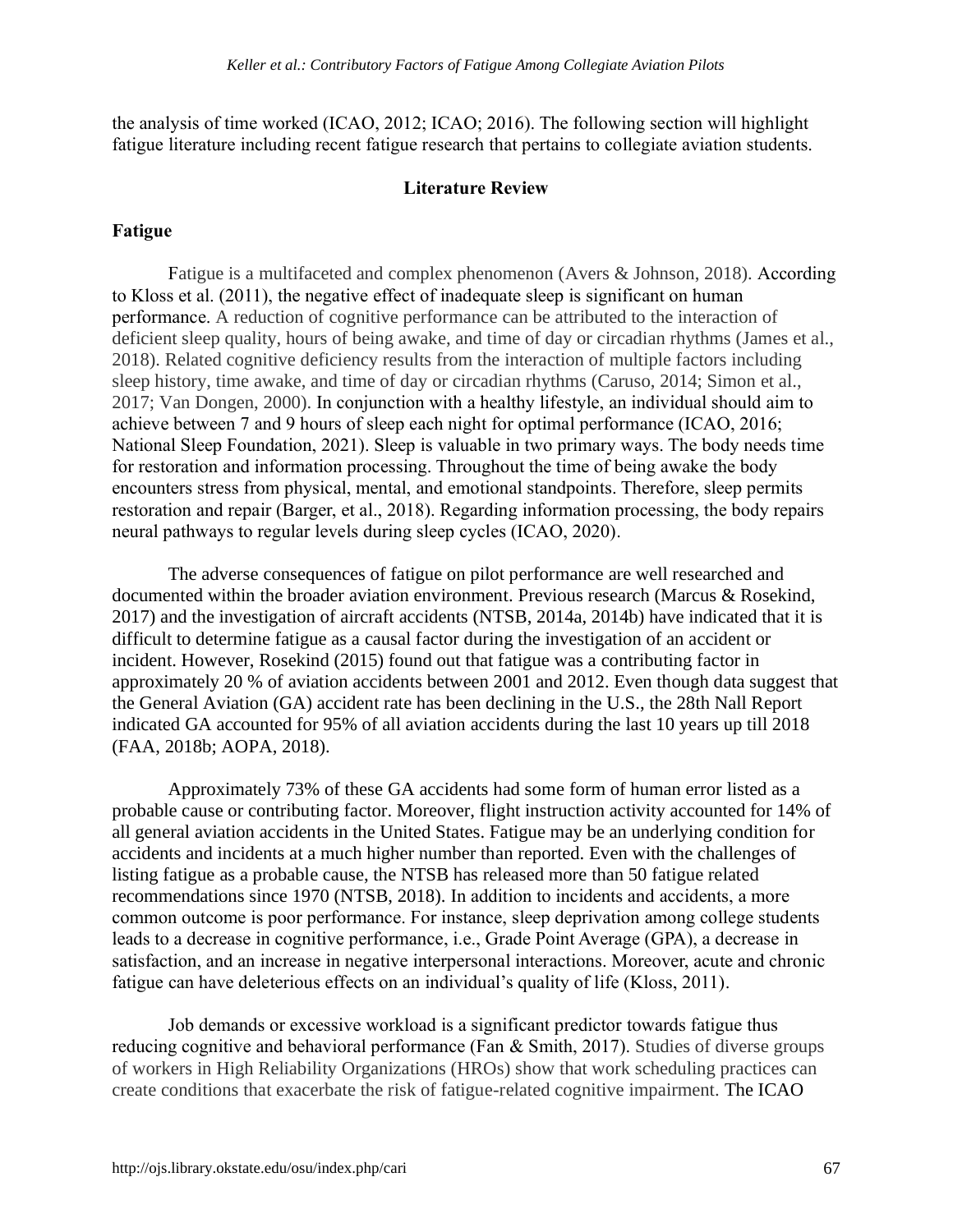the analysis of time worked (ICAO, 2012; ICAO; 2016). The following section will highlight fatigue literature including recent fatigue research that pertains to collegiate aviation students.

#### **Literature Review**

#### **Fatigue**

Fatigue is a multifaceted and complex phenomenon (Avers & Johnson, 2018). According to Kloss et al. (2011), the negative effect of inadequate sleep is significant on human performance. A reduction of cognitive performance can be attributed to the interaction of deficient sleep quality, hours of being awake, and time of day or circadian rhythms (James et al., 2018). Related cognitive deficiency results from the interaction of multiple factors including sleep history, time awake, and time of day or circadian rhythms (Caruso, 2014; Simon et al., 2017; Van Dongen, 2000). In conjunction with a healthy lifestyle, an individual should aim to achieve between 7 and 9 hours of sleep each night for optimal performance (ICAO, 2016; National Sleep Foundation, 2021). Sleep is valuable in two primary ways. The body needs time for restoration and information processing. Throughout the time of being awake the body encounters stress from physical, mental, and emotional standpoints. Therefore, sleep permits restoration and repair (Barger, et al., 2018). Regarding information processing, the body repairs neural pathways to regular levels during sleep cycles (ICAO, 2020).

The adverse consequences of fatigue on pilot performance are well researched and documented within the broader aviation environment. Previous research (Marcus & Rosekind, 2017) and the investigation of aircraft accidents (NTSB, 2014a, 2014b) have indicated that it is difficult to determine fatigue as a causal factor during the investigation of an accident or incident. However, Rosekind (2015) found out that fatigue was a contributing factor in approximately 20 % of aviation accidents between 2001 and 2012. Even though data suggest that the General Aviation (GA) accident rate has been declining in the U.S., the 28th Nall Report indicated GA accounted for 95% of all aviation accidents during the last 10 years up till 2018 (FAA, 2018b; AOPA, 2018).

Approximately 73% of these GA accidents had some form of human error listed as a probable cause or contributing factor. Moreover, flight instruction activity accounted for 14% of all general aviation accidents in the United States. Fatigue may be an underlying condition for accidents and incidents at a much higher number than reported. Even with the challenges of listing fatigue as a probable cause, the NTSB has released more than 50 fatigue related recommendations since 1970 (NTSB, 2018). In addition to incidents and accidents, a more common outcome is poor performance. For instance, sleep deprivation among college students leads to a decrease in cognitive performance, i.e., Grade Point Average (GPA), a decrease in satisfaction, and an increase in negative interpersonal interactions. Moreover, acute and chronic fatigue can have deleterious effects on an individual's quality of life (Kloss, 2011).

Job demands or excessive workload is a significant predictor towards fatigue thus reducing cognitive and behavioral performance (Fan & Smith, 2017). Studies of diverse groups of workers in High Reliability Organizations (HROs) show that work scheduling practices can create conditions that exacerbate the risk of fatigue-related cognitive impairment. The ICAO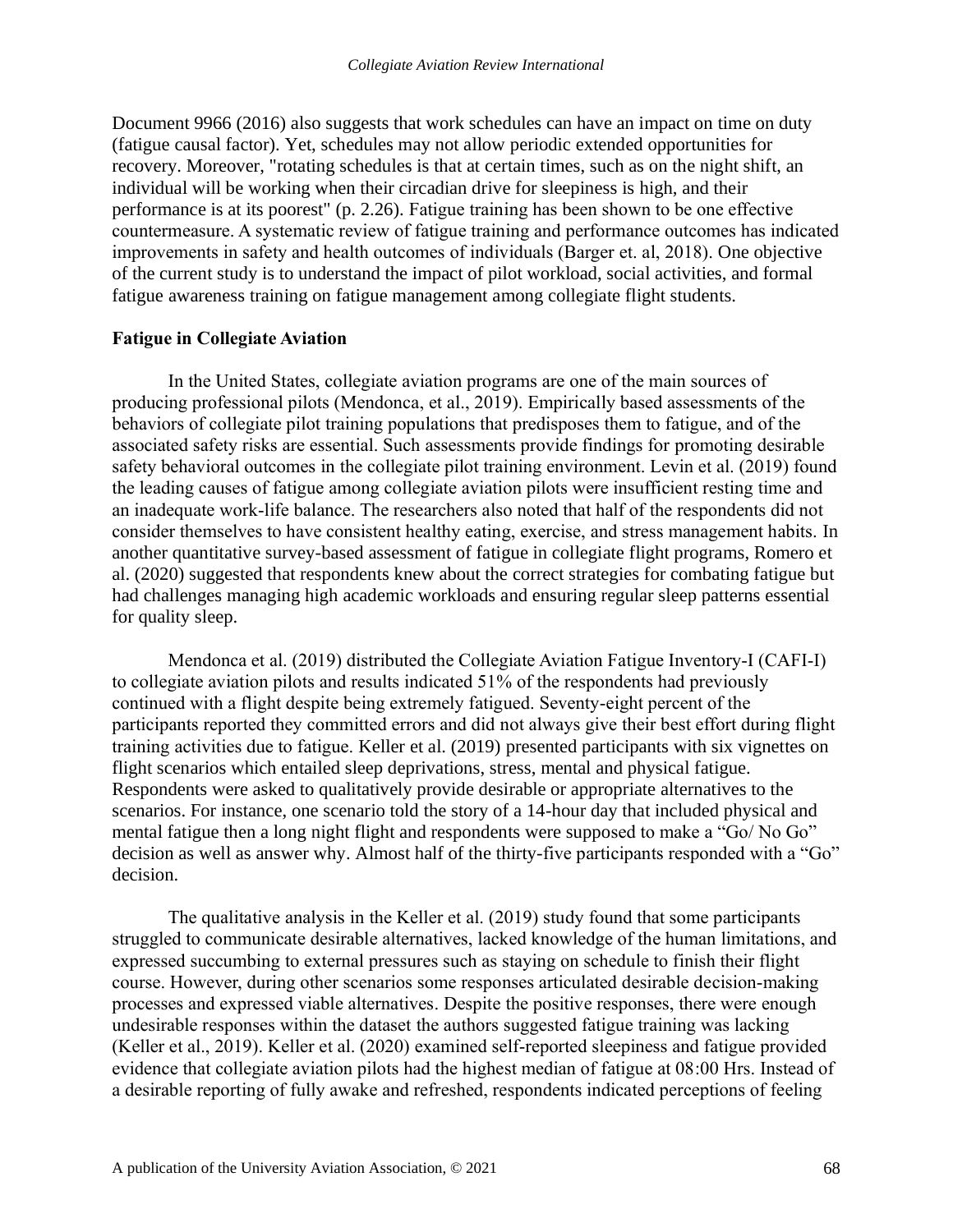Document 9966 (2016) also suggests that work schedules can have an impact on time on duty (fatigue causal factor). Yet, schedules may not allow periodic extended opportunities for recovery. Moreover, "rotating schedules is that at certain times, such as on the night shift, an individual will be working when their circadian drive for sleepiness is high, and their performance is at its poorest" (p. 2.26). Fatigue training has been shown to be one effective countermeasure. A systematic review of fatigue training and performance outcomes has indicated improvements in safety and health outcomes of individuals (Barger et. al, 2018). One objective of the current study is to understand the impact of pilot workload, social activities, and formal fatigue awareness training on fatigue management among collegiate flight students.

#### **Fatigue in Collegiate Aviation**

In the United States, collegiate aviation programs are one of the main sources of producing professional pilots (Mendonca, et al., 2019). Empirically based assessments of the behaviors of collegiate pilot training populations that predisposes them to fatigue, and of the associated safety risks are essential. Such assessments provide findings for promoting desirable safety behavioral outcomes in the collegiate pilot training environment. Levin et al. (2019) found the leading causes of fatigue among collegiate aviation pilots were insufficient resting time and an inadequate work-life balance. The researchers also noted that half of the respondents did not consider themselves to have consistent healthy eating, exercise, and stress management habits. In another quantitative survey-based assessment of fatigue in collegiate flight programs, Romero et al. (2020) suggested that respondents knew about the correct strategies for combating fatigue but had challenges managing high academic workloads and ensuring regular sleep patterns essential for quality sleep.

Mendonca et al. (2019) distributed the Collegiate Aviation Fatigue Inventory-I (CAFI-I) to collegiate aviation pilots and results indicated 51% of the respondents had previously continued with a flight despite being extremely fatigued. Seventy-eight percent of the participants reported they committed errors and did not always give their best effort during flight training activities due to fatigue. Keller et al. (2019) presented participants with six vignettes on flight scenarios which entailed sleep deprivations, stress, mental and physical fatigue. Respondents were asked to qualitatively provide desirable or appropriate alternatives to the scenarios. For instance, one scenario told the story of a 14-hour day that included physical and mental fatigue then a long night flight and respondents were supposed to make a "Go/ No Go" decision as well as answer why. Almost half of the thirty-five participants responded with a "Go" decision.

The qualitative analysis in the Keller et al. (2019) study found that some participants struggled to communicate desirable alternatives, lacked knowledge of the human limitations, and expressed succumbing to external pressures such as staying on schedule to finish their flight course. However, during other scenarios some responses articulated desirable decision-making processes and expressed viable alternatives. Despite the positive responses, there were enough undesirable responses within the dataset the authors suggested fatigue training was lacking (Keller et al., 2019). Keller et al. (2020) examined self-reported sleepiness and fatigue provided evidence that collegiate aviation pilots had the highest median of fatigue at 08:00 Hrs. Instead of a desirable reporting of fully awake and refreshed, respondents indicated perceptions of feeling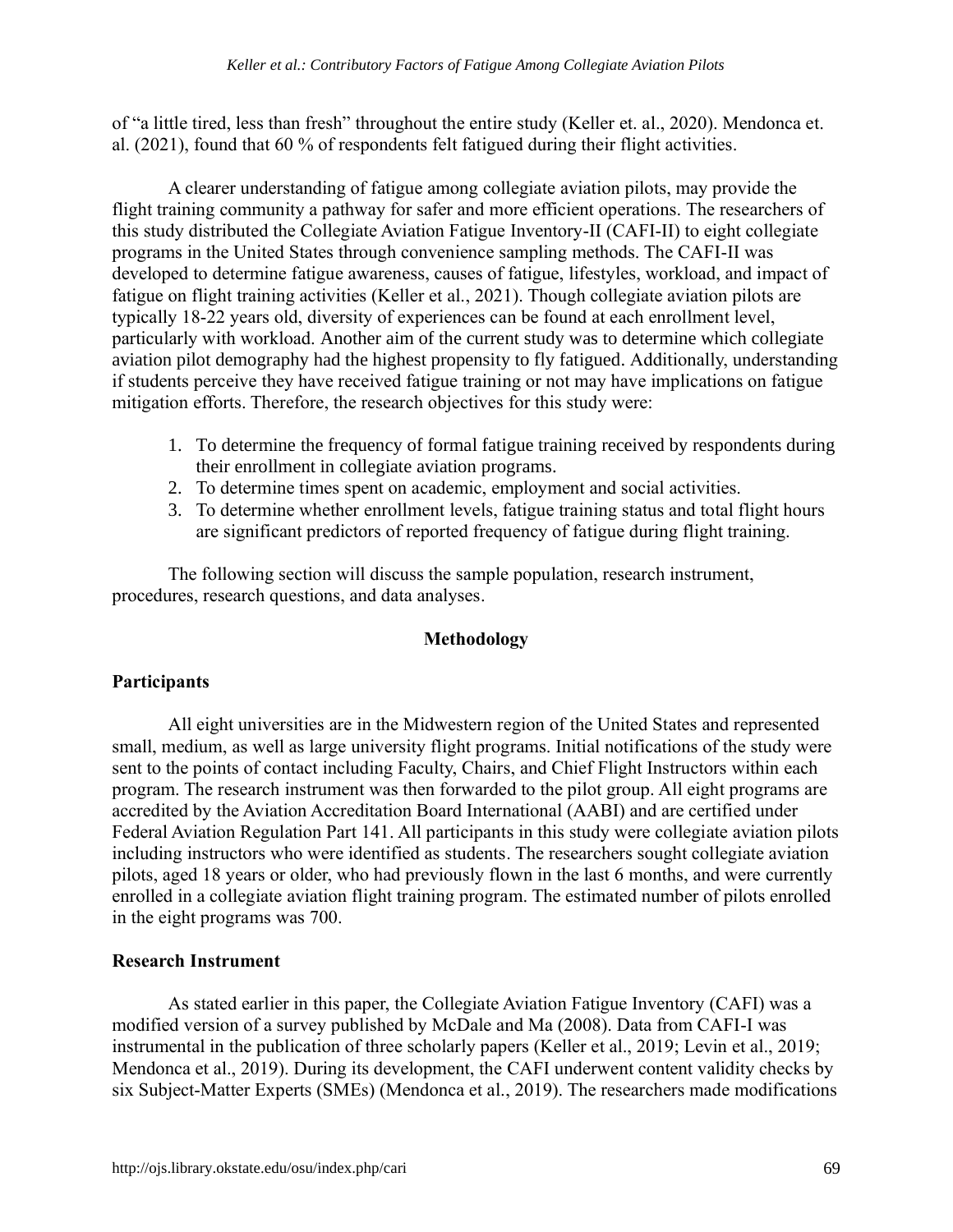of "a little tired, less than fresh" throughout the entire study (Keller et. al., 2020). Mendonca et. al. (2021), found that 60 % of respondents felt fatigued during their flight activities.

A clearer understanding of fatigue among collegiate aviation pilots, may provide the flight training community a pathway for safer and more efficient operations. The researchers of this study distributed the Collegiate Aviation Fatigue Inventory-II (CAFI-II) to eight collegiate programs in the United States through convenience sampling methods. The CAFI-II was developed to determine fatigue awareness, causes of fatigue, lifestyles, workload, and impact of fatigue on flight training activities (Keller et al., 2021). Though collegiate aviation pilots are typically 18-22 years old, diversity of experiences can be found at each enrollment level, particularly with workload. Another aim of the current study was to determine which collegiate aviation pilot demography had the highest propensity to fly fatigued. Additionally, understanding if students perceive they have received fatigue training or not may have implications on fatigue mitigation efforts. Therefore, the research objectives for this study were:

- 1. To determine the frequency of formal fatigue training received by respondents during their enrollment in collegiate aviation programs.
- 2. To determine times spent on academic, employment and social activities.
- 3. To determine whether enrollment levels, fatigue training status and total flight hours are significant predictors of reported frequency of fatigue during flight training.

The following section will discuss the sample population, research instrument, procedures, research questions, and data analyses.

#### **Methodology**

#### **Participants**

All eight universities are in the Midwestern region of the United States and represented small, medium, as well as large university flight programs. Initial notifications of the study were sent to the points of contact including Faculty, Chairs, and Chief Flight Instructors within each program. The research instrument was then forwarded to the pilot group. All eight programs are accredited by the Aviation Accreditation Board International (AABI) and are certified under Federal Aviation Regulation Part 141. All participants in this study were collegiate aviation pilots including instructors who were identified as students. The researchers sought collegiate aviation pilots, aged 18 years or older, who had previously flown in the last 6 months, and were currently enrolled in a collegiate aviation flight training program. The estimated number of pilots enrolled in the eight programs was 700.

#### **Research Instrument**

As stated earlier in this paper, the Collegiate Aviation Fatigue Inventory (CAFI) was a modified version of a survey published by McDale and Ma (2008). Data from CAFI-I was instrumental in the publication of three scholarly papers (Keller et al., 2019; Levin et al., 2019; Mendonca et al., 2019). During its development, the CAFI underwent content validity checks by six Subject-Matter Experts (SMEs) (Mendonca et al., 2019). The researchers made modifications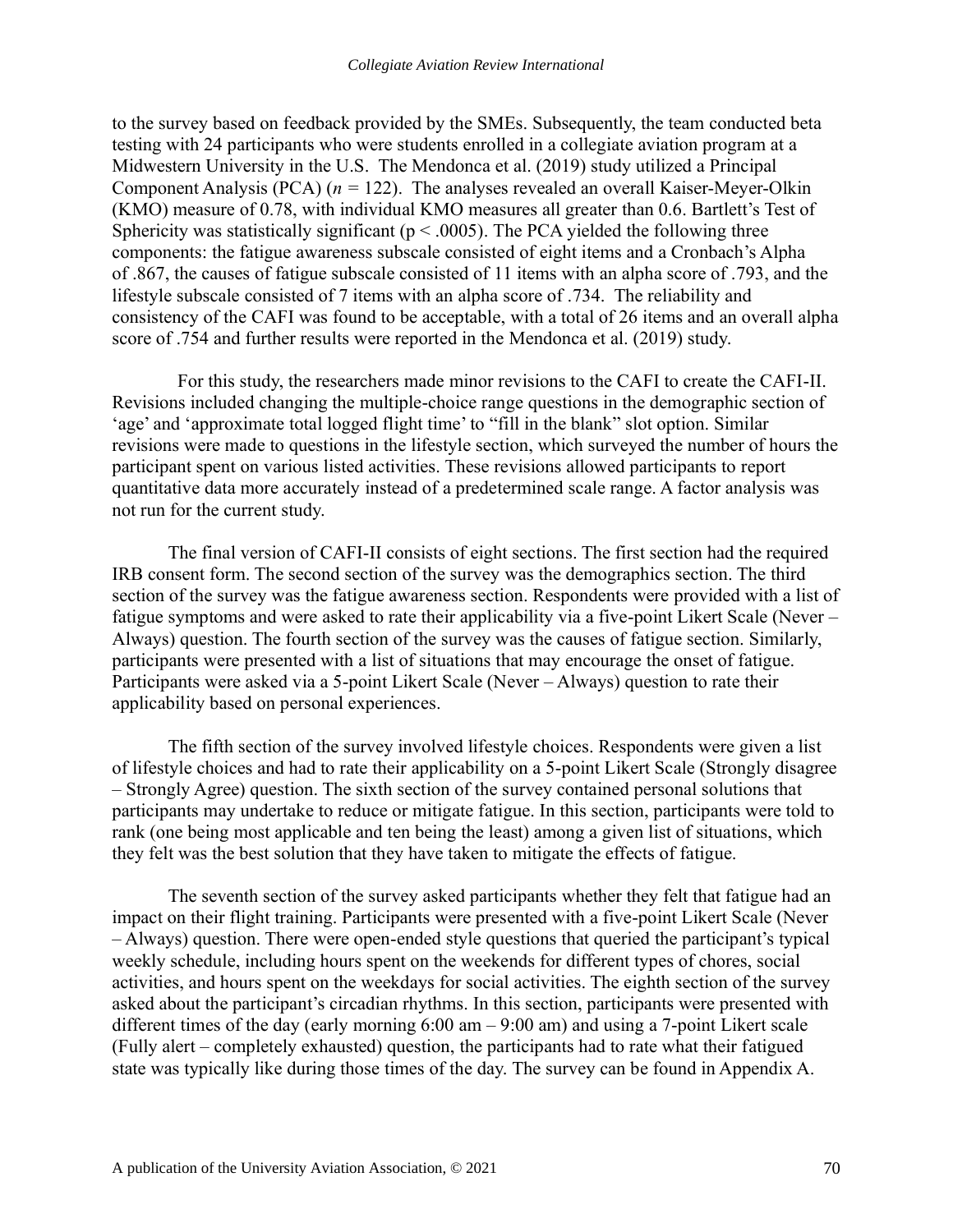to the survey based on feedback provided by the SMEs. Subsequently, the team conducted beta testing with 24 participants who were students enrolled in a collegiate aviation program at a Midwestern University in the U.S. The Mendonca et al. (2019) study utilized a Principal Component Analysis (PCA) (*n =* 122). The analyses revealed an overall Kaiser-Meyer-Olkin (KMO) measure of 0.78, with individual KMO measures all greater than 0.6. Bartlett's Test of Sphericity was statistically significant ( $p < .0005$ ). The PCA yielded the following three components: the fatigue awareness subscale consisted of eight items and a Cronbach's Alpha of .867, the causes of fatigue subscale consisted of 11 items with an alpha score of .793, and the lifestyle subscale consisted of 7 items with an alpha score of .734. The reliability and consistency of the CAFI was found to be acceptable, with a total of 26 items and an overall alpha score of .754 and further results were reported in the Mendonca et al. (2019) study.

 For this study, the researchers made minor revisions to the CAFI to create the CAFI-II. Revisions included changing the multiple-choice range questions in the demographic section of 'age' and 'approximate total logged flight time' to "fill in the blank" slot option. Similar revisions were made to questions in the lifestyle section, which surveyed the number of hours the participant spent on various listed activities. These revisions allowed participants to report quantitative data more accurately instead of a predetermined scale range. A factor analysis was not run for the current study.

The final version of CAFI-II consists of eight sections. The first section had the required IRB consent form. The second section of the survey was the demographics section. The third section of the survey was the fatigue awareness section. Respondents were provided with a list of fatigue symptoms and were asked to rate their applicability via a five-point Likert Scale (Never – Always) question. The fourth section of the survey was the causes of fatigue section. Similarly, participants were presented with a list of situations that may encourage the onset of fatigue. Participants were asked via a 5-point Likert Scale (Never – Always) question to rate their applicability based on personal experiences.

The fifth section of the survey involved lifestyle choices. Respondents were given a list of lifestyle choices and had to rate their applicability on a 5-point Likert Scale (Strongly disagree – Strongly Agree) question. The sixth section of the survey contained personal solutions that participants may undertake to reduce or mitigate fatigue. In this section, participants were told to rank (one being most applicable and ten being the least) among a given list of situations, which they felt was the best solution that they have taken to mitigate the effects of fatigue.

The seventh section of the survey asked participants whether they felt that fatigue had an impact on their flight training. Participants were presented with a five-point Likert Scale (Never – Always) question. There were open-ended style questions that queried the participant's typical weekly schedule, including hours spent on the weekends for different types of chores, social activities, and hours spent on the weekdays for social activities. The eighth section of the survey asked about the participant's circadian rhythms. In this section, participants were presented with different times of the day (early morning 6:00 am – 9:00 am) and using a 7-point Likert scale (Fully alert – completely exhausted) question, the participants had to rate what their fatigued state was typically like during those times of the day. The survey can be found in Appendix A.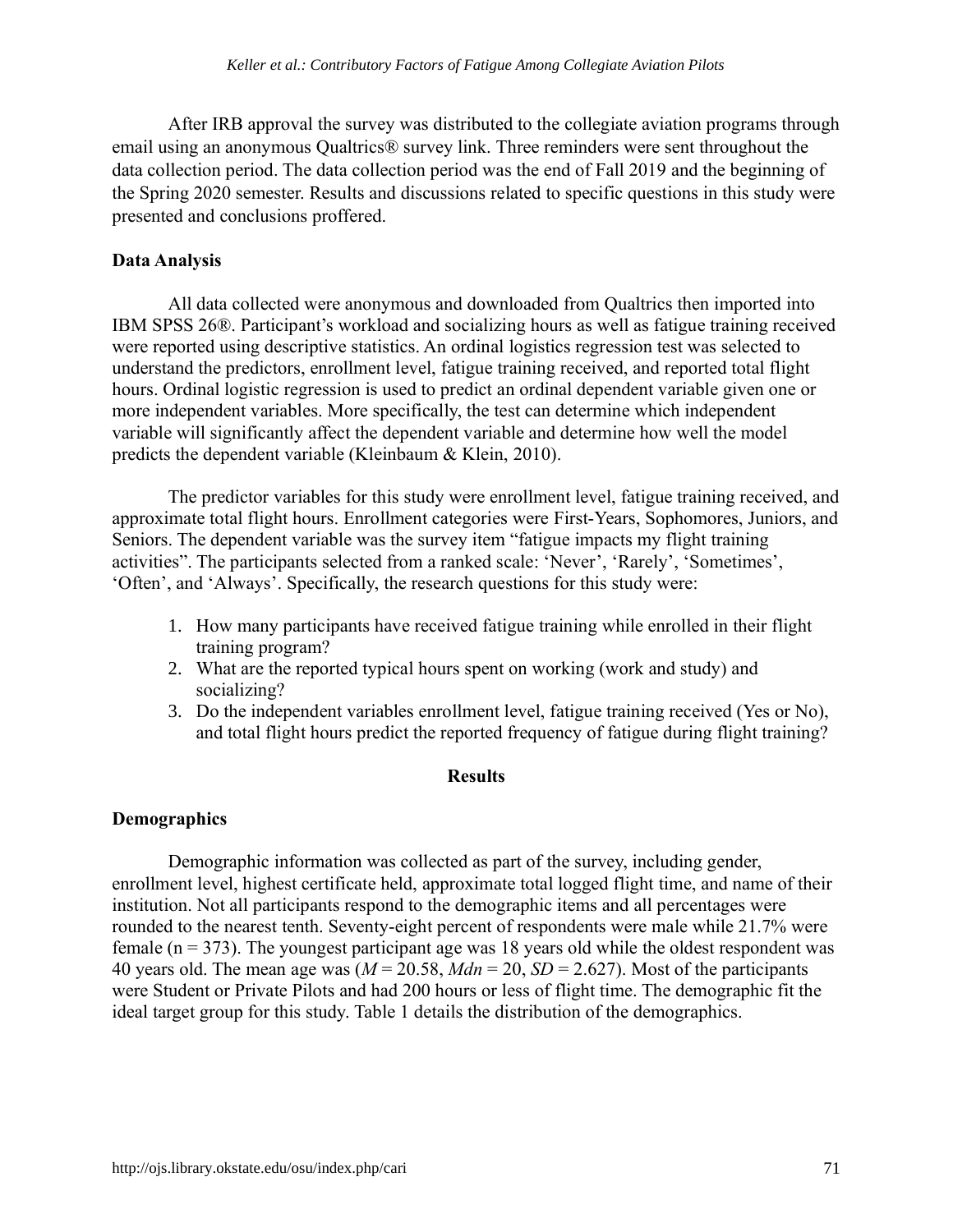After IRB approval the survey was distributed to the collegiate aviation programs through email using an anonymous Qualtrics® survey link. Three reminders were sent throughout the data collection period. The data collection period was the end of Fall 2019 and the beginning of the Spring 2020 semester. Results and discussions related to specific questions in this study were presented and conclusions proffered.

#### **Data Analysis**

All data collected were anonymous and downloaded from Qualtrics then imported into IBM SPSS 26®. Participant's workload and socializing hours as well as fatigue training received were reported using descriptive statistics. An ordinal logistics regression test was selected to understand the predictors, enrollment level, fatigue training received, and reported total flight hours. Ordinal logistic regression is used to predict an ordinal dependent variable given one or more independent variables. More specifically, the test can determine which independent variable will significantly affect the dependent variable and determine how well the model predicts the dependent variable (Kleinbaum & Klein, 2010).

The predictor variables for this study were enrollment level, fatigue training received, and approximate total flight hours. Enrollment categories were First-Years, Sophomores, Juniors, and Seniors. The dependent variable was the survey item "fatigue impacts my flight training activities". The participants selected from a ranked scale: 'Never', 'Rarely', 'Sometimes', 'Often', and 'Always'. Specifically, the research questions for this study were:

- 1. How many participants have received fatigue training while enrolled in their flight training program?
- 2. What are the reported typical hours spent on working (work and study) and socializing?
- 3. Do the independent variables enrollment level, fatigue training received (Yes or No), and total flight hours predict the reported frequency of fatigue during flight training?

#### **Results**

#### **Demographics**

Demographic information was collected as part of the survey, including gender, enrollment level, highest certificate held, approximate total logged flight time, and name of their institution. Not all participants respond to the demographic items and all percentages were rounded to the nearest tenth. Seventy-eight percent of respondents were male while 21.7% were female ( $n = 373$ ). The youngest participant age was 18 years old while the oldest respondent was 40 years old. The mean age was  $(M = 20.58, Mdn = 20, SD = 2.627)$ . Most of the participants were Student or Private Pilots and had 200 hours or less of flight time. The demographic fit the ideal target group for this study. Table 1 details the distribution of the demographics.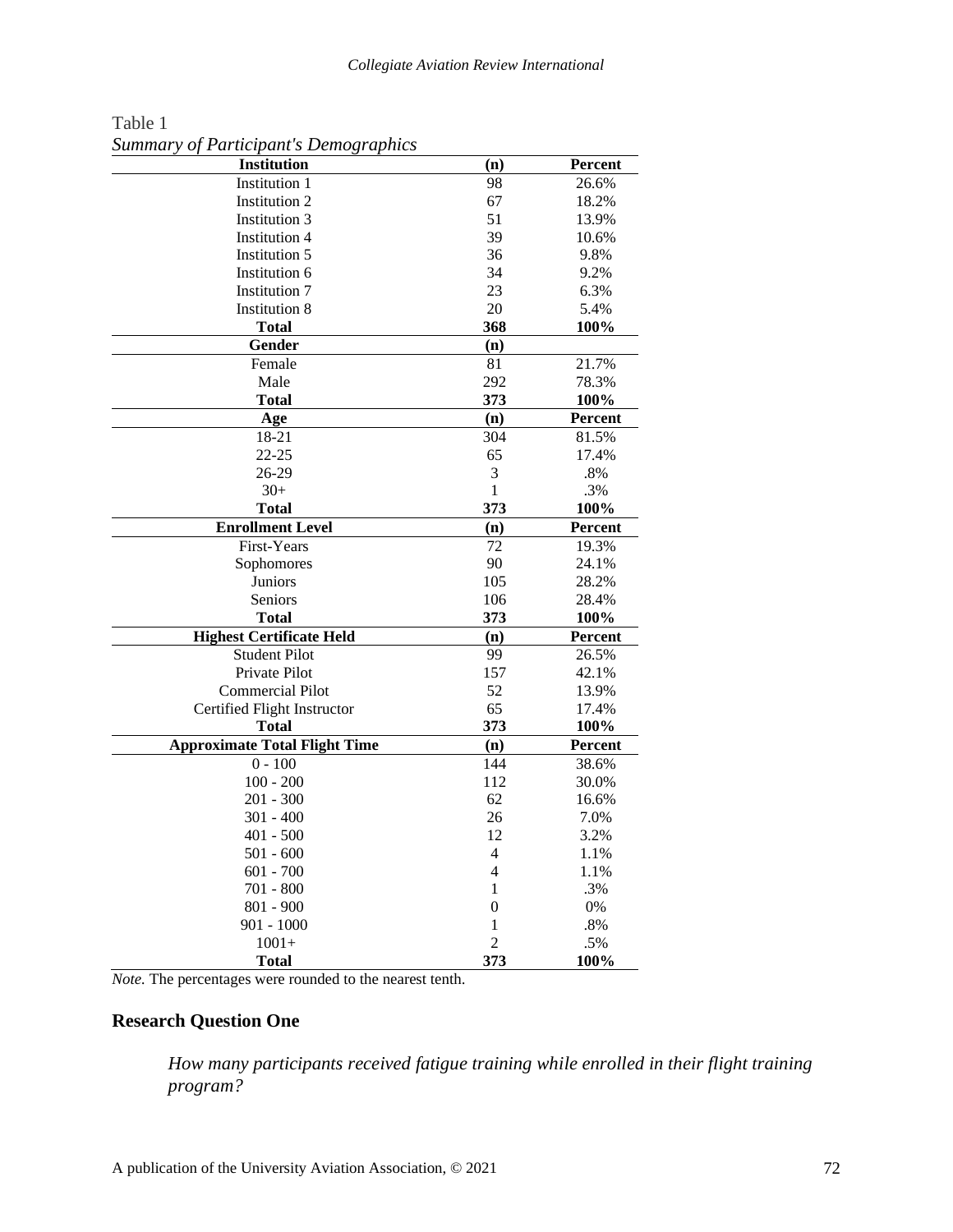| Institution                          | (n)            | Percent |
|--------------------------------------|----------------|---------|
| <b>Institution 1</b>                 | 98             | 26.6%   |
| Institution 2                        | 67             | 18.2%   |
| <b>Institution 3</b>                 | 51             | 13.9%   |
| <b>Institution 4</b>                 | 39             | 10.6%   |
| Institution 5                        | 36             | 9.8%    |
| Institution 6                        | 34             | 9.2%    |
| <b>Institution 7</b>                 | 23             | 6.3%    |
| <b>Institution 8</b>                 | 20             | 5.4%    |
| Total                                | 368            | 100%    |
| Gender                               | (n)            |         |
| Female                               | 81             | 21.7%   |
| Male                                 | 292            | 78.3%   |
| <b>Total</b>                         | 373            | 100%    |
| Age                                  | (n)            | Percent |
| 18-21                                | 304            | 81.5%   |
| $22 - 25$                            | 65             | 17.4%   |
| 26-29                                | 3              | $.8\%$  |
| $30+$                                | $\mathbf{1}$   | .3%     |
| Total                                | 373            | 100%    |
| <b>Enrollment Level</b>              | (n)            | Percent |
| First-Years                          | 72             | 19.3%   |
| Sophomores                           | 90             | 24.1%   |
| Juniors                              | 105            | 28.2%   |
| Seniors                              | 106            | 28.4%   |
| <b>Total</b>                         | 373            | 100%    |
| <b>Highest Certificate Held</b>      | (n)            | Percent |
| <b>Student Pilot</b>                 | 99             | 26.5%   |
| Private Pilot                        | 157            | 42.1%   |
| <b>Commercial Pilot</b>              | 52             | 13.9%   |
| Certified Flight Instructor          | 65             | 17.4%   |
| <b>Total</b>                         | 373            | 100%    |
| <b>Approximate Total Flight Time</b> | (n)            | Percent |
| $0 - 100$                            | 144            | 38.6%   |
| $100 - 200$                          | 112            | 30.0%   |
| $201 - 300$                          | 62             | 16.6%   |
| $301 - 400$                          | 26             | 7.0%    |
| $401 - 500$                          | 12             | 3.2%    |
| $501 - 600$                          | 4              | 1.1%    |
| $601 - 700$                          | 4              | 1.1%    |
| 701 - 800                            | 1              | .3%     |
| $801 - 900$                          | 0              | 0%      |
| $901 - 1000$                         | 1              | .8%     |
| $1001+$                              | $\overline{2}$ | .5%     |
| <b>Total</b>                         | 373            | 100%    |

Table 1 *Summary of Participant's Demographics*

*Note.* The percentages were rounded to the nearest tenth.

#### **Research Question One**

*How many participants received fatigue training while enrolled in their flight training program?*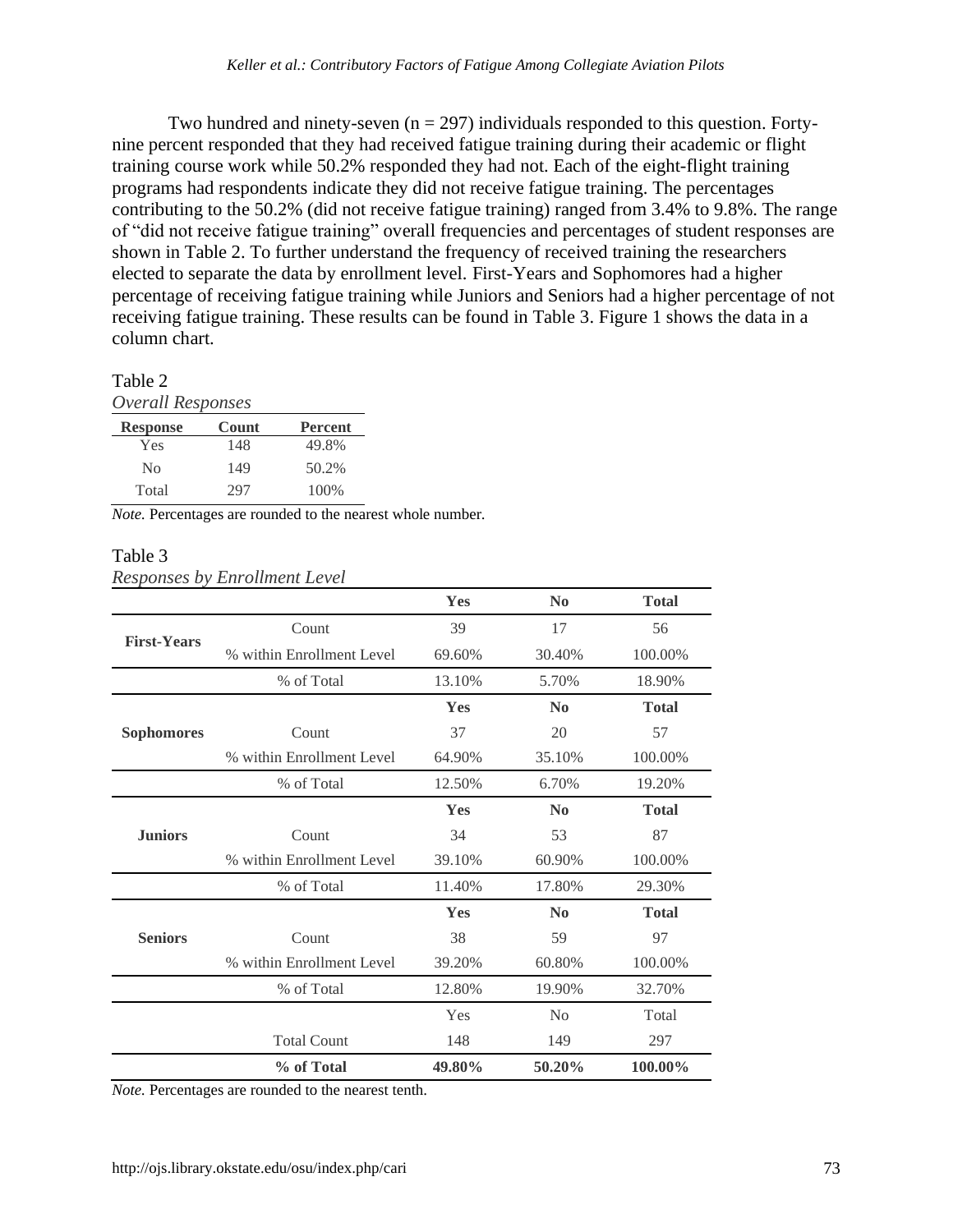Two hundred and ninety-seven  $(n = 297)$  individuals responded to this question. Fortynine percent responded that they had received fatigue training during their academic or flight training course work while 50.2% responded they had not. Each of the eight-flight training programs had respondents indicate they did not receive fatigue training. The percentages contributing to the 50.2% (did not receive fatigue training) ranged from 3.4% to 9.8%. The range of "did not receive fatigue training" overall frequencies and percentages of student responses are shown in Table 2. To further understand the frequency of received training the researchers elected to separate the data by enrollment level. First-Years and Sophomores had a higher percentage of receiving fatigue training while Juniors and Seniors had a higher percentage of not receiving fatigue training. These results can be found in Table 3. Figure 1 shows the data in a column chart.

#### Table 2

*Overall Responses* 

| <b>Response</b> | Count | <b>Percent</b> |
|-----------------|-------|----------------|
| Yes             | 148   | 49.8%          |
| No              | 149   | 50.2%          |
| Total           | 297   | 100\%          |

*Note.* Percentages are rounded to the nearest whole number.

#### Table 3 *Responses by Enrollment Level*

|                    |                           | Yes        | $\bf No$       | <b>Total</b> |
|--------------------|---------------------------|------------|----------------|--------------|
|                    | Count                     | 39         | 17             | 56           |
| <b>First-Years</b> | % within Enrollment Level | 69.60%     | 30.40%         | 100.00%      |
|                    | % of Total                | 13.10%     | 5.70%          | 18.90%       |
|                    |                           | Yes        | N <sub>0</sub> | <b>Total</b> |
| <b>Sophomores</b>  | Count                     | 37         | 20             | 57           |
|                    | % within Enrollment Level | 64.90%     | 35.10%         | 100.00%      |
|                    | % of Total                | 12.50%     | 6.70%          | 19.20%       |
|                    |                           | Yes        | $\bf No$       | <b>Total</b> |
| <b>Juniors</b>     | Count                     | 34         | 53             | 87           |
|                    | % within Enrollment Level | 39.10%     | 60.90%         | 100.00%      |
|                    | % of Total                | 11.40%     | 17.80%         | 29.30%       |
|                    |                           | <b>Yes</b> | N <sub>0</sub> | <b>Total</b> |
| <b>Seniors</b>     | Count                     | 38         | 59             | 97           |
|                    | % within Enrollment Level | 39.20%     | 60.80%         | 100.00%      |
|                    | % of Total                | 12.80%     | 19.90%         | 32.70%       |
|                    |                           | Yes        | N <sub>0</sub> | Total        |
|                    | <b>Total Count</b>        | 148        | 149            | 297          |
|                    | % of Total                | 49.80%     | 50.20%         | 100.00%      |

*Note.* Percentages are rounded to the nearest tenth.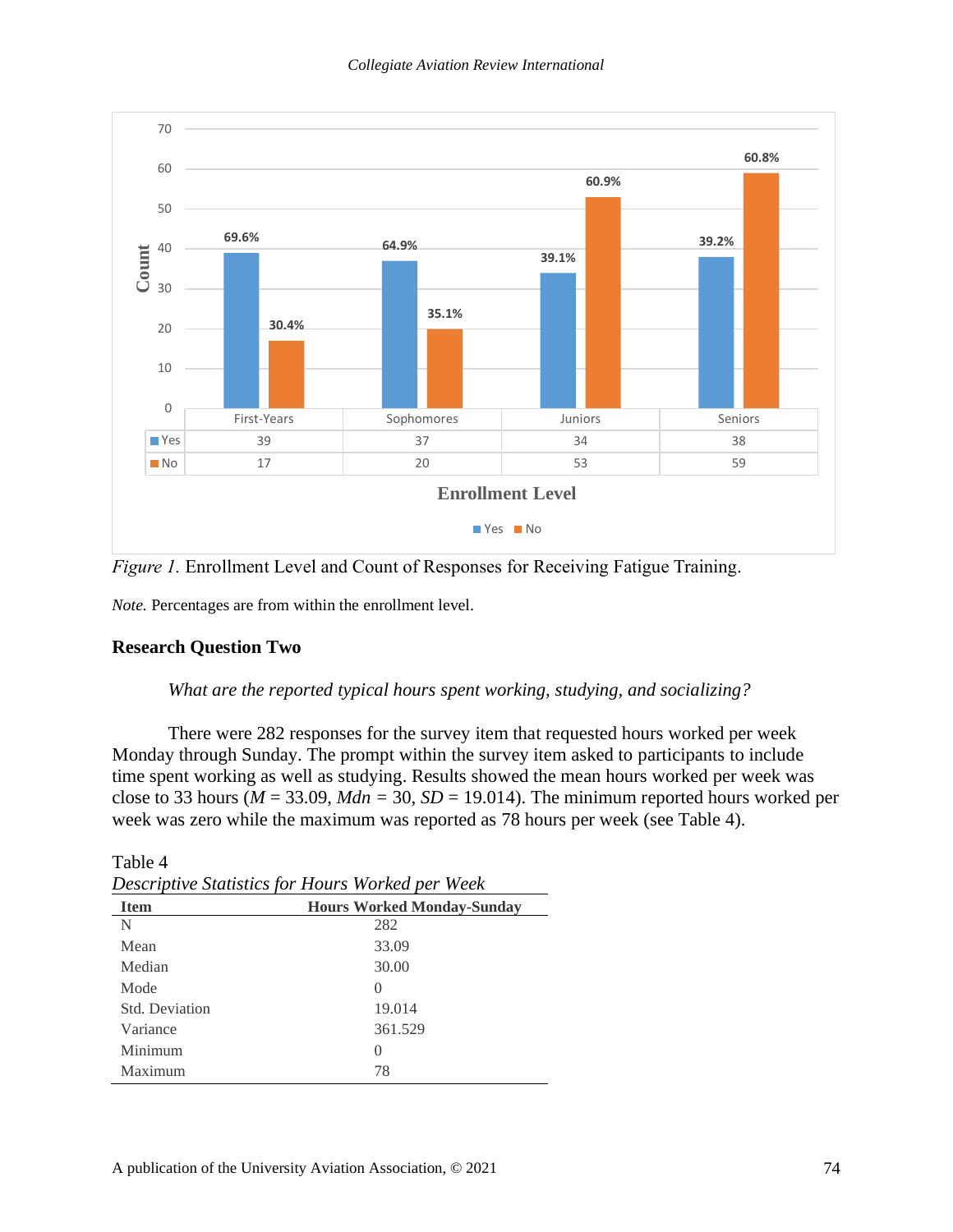

*Figure 1.* Enrollment Level and Count of Responses for Receiving Fatigue Training.

*Note.* Percentages are from within the enrollment level.

#### **Research Question Two**

Table 4

#### *What are the reported typical hours spent working, studying, and socializing?*

There were 282 responses for the survey item that requested hours worked per week Monday through Sunday. The prompt within the survey item asked to participants to include time spent working as well as studying. Results showed the mean hours worked per week was close to 33 hours ( $M = 33.09$ ,  $Mdn = 30$ ,  $SD = 19.014$ ). The minimum reported hours worked per week was zero while the maximum was reported as 78 hours per week (see Table 4).

|                | Descriptive Statistics for Hours Worked per Week |
|----------------|--------------------------------------------------|
| <b>Item</b>    | <b>Hours Worked Monday-Sunday</b>                |
| N              | 282                                              |
| Mean           | 33.09                                            |
| Median         | 30.00                                            |
| Mode           | $\mathbf{0}$                                     |
| Std. Deviation | 19.014                                           |
| Variance       | 361.529                                          |
| Minimum        | $\mathcal{O}$                                    |
| Maximum        | 78                                               |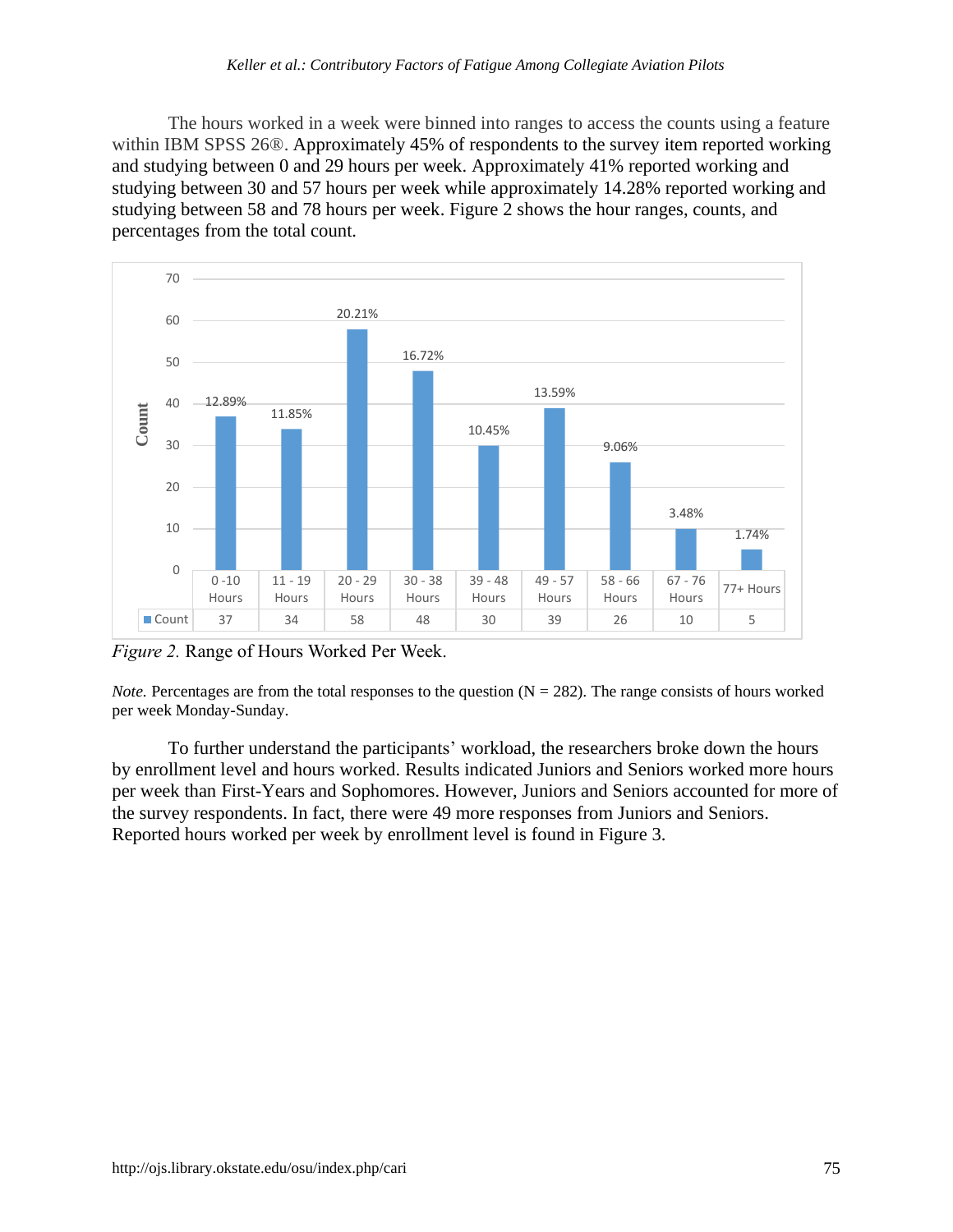The hours worked in a week were binned into ranges to access the counts using a feature within IBM SPSS 26®. Approximately 45% of respondents to the survey item reported working and studying between 0 and 29 hours per week. Approximately 41% reported working and studying between 30 and 57 hours per week while approximately 14.28% reported working and studying between 58 and 78 hours per week. Figure 2 shows the hour ranges, counts, and percentages from the total count.



*Figure 2.* Range of Hours Worked Per Week.

*Note.* Percentages are from the total responses to the question  $(N = 282)$ . The range consists of hours worked per week Monday-Sunday.

To further understand the participants' workload, the researchers broke down the hours by enrollment level and hours worked. Results indicated Juniors and Seniors worked more hours per week than First-Years and Sophomores. However, Juniors and Seniors accounted for more of the survey respondents. In fact, there were 49 more responses from Juniors and Seniors. Reported hours worked per week by enrollment level is found in Figure 3.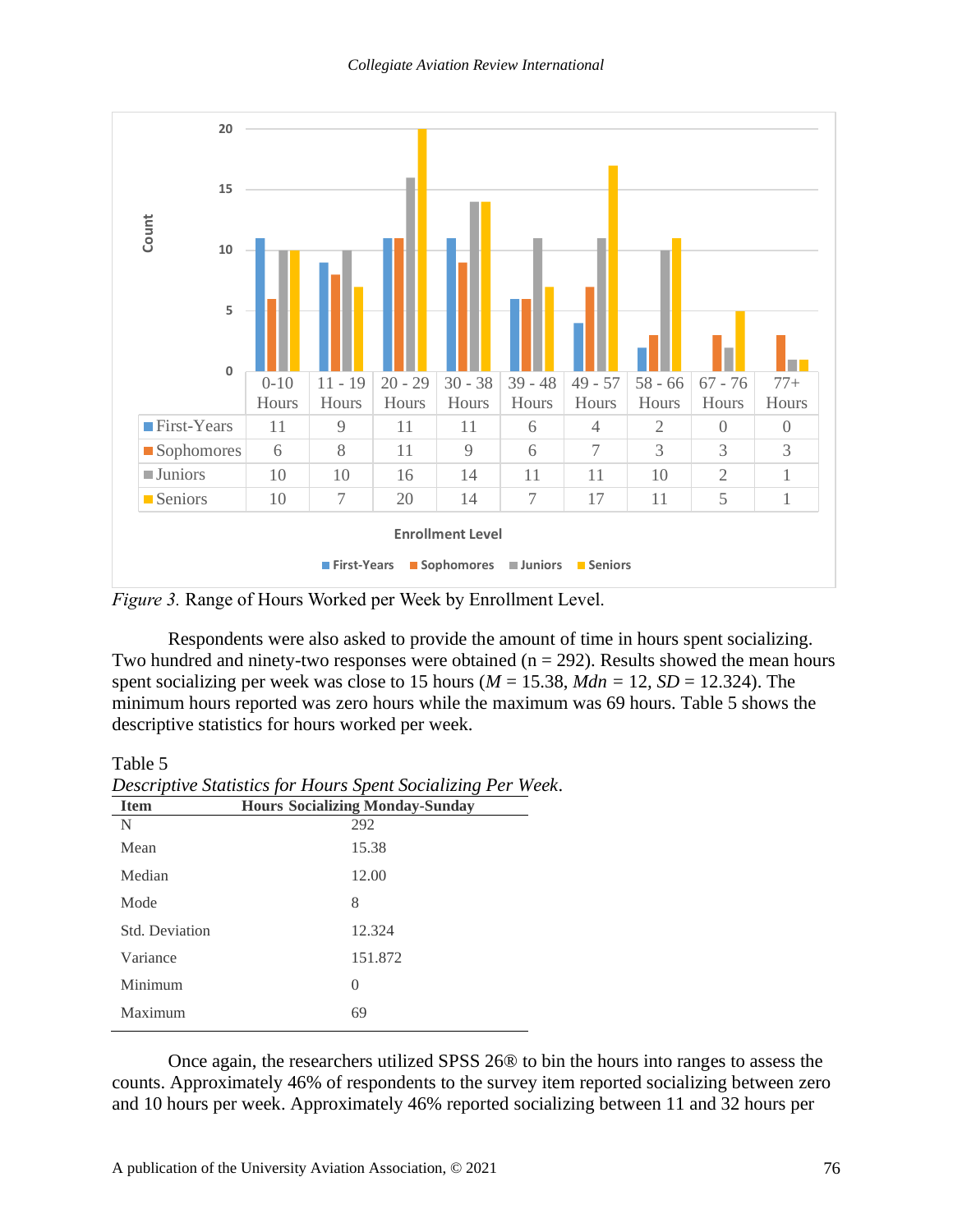

*Figure 3.* Range of Hours Worked per Week by Enrollment Level.

Respondents were also asked to provide the amount of time in hours spent socializing. Two hundred and ninety-two responses were obtained ( $n = 292$ ). Results showed the mean hours spent socializing per week was close to 15 hours ( $M = 15.38$ ,  $Mdn = 12$ ,  $SD = 12.324$ ). The minimum hours reported was zero hours while the maximum was 69 hours. Table 5 shows the descriptive statistics for hours worked per week.

Table 5

| <b>Item</b>    | <b>Hours Socializing Monday-Sunday</b> |
|----------------|----------------------------------------|
| N              | 292                                    |
| Mean           | 15.38                                  |
| Median         | 12.00                                  |
| Mode           | 8                                      |
| Std. Deviation | 12.324                                 |
| Variance       | 151.872                                |
| Minimum        | $\left( \right)$                       |
| Maximum        | 69                                     |
|                |                                        |

*Descriptive Statistics for Hours Spent Socializing Per Week*.

Once again, the researchers utilized SPSS 26® to bin the hours into ranges to assess the counts. Approximately 46% of respondents to the survey item reported socializing between zero and 10 hours per week. Approximately 46% reported socializing between 11 and 32 hours per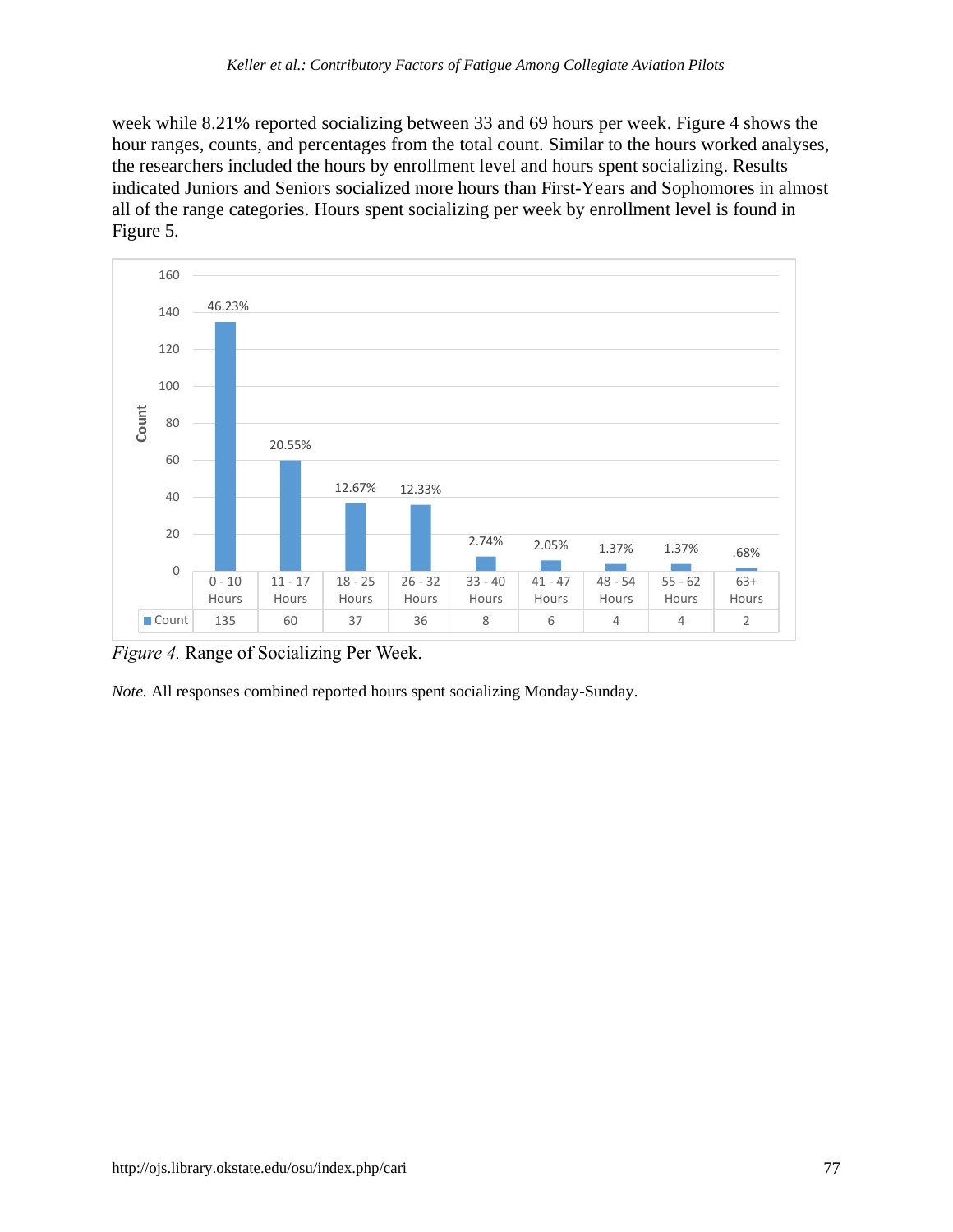week while 8.21% reported socializing between 33 and 69 hours per week. Figure 4 shows the hour ranges, counts, and percentages from the total count. Similar to the hours worked analyses, the researchers included the hours by enrollment level and hours spent socializing. Results indicated Juniors and Seniors socialized more hours than First-Years and Sophomores in almost all of the range categories. Hours spent socializing per week by enrollment level is found in Figure 5.



*Figure 4.* Range of Socializing Per Week.

*Note.* All responses combined reported hours spent socializing Monday-Sunday.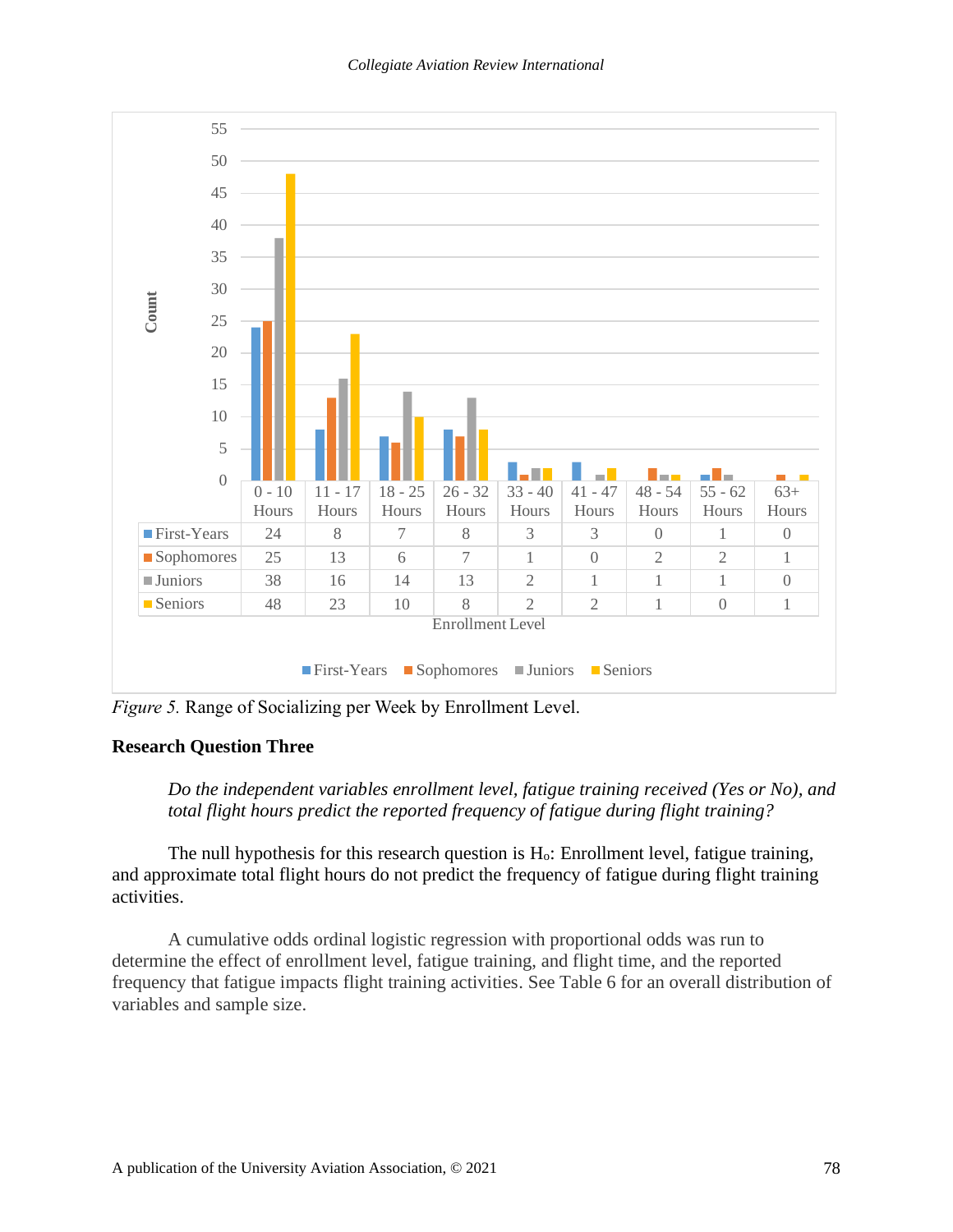

*Figure 5.* Range of Socializing per Week by Enrollment Level.

#### **Research Question Three**

*Do the independent variables enrollment level, fatigue training received (Yes or No), and total flight hours predict the reported frequency of fatigue during flight training?*

The null hypothesis for this research question is Ho: Enrollment level, fatigue training, and approximate total flight hours do not predict the frequency of fatigue during flight training activities.

A cumulative odds ordinal logistic regression with proportional odds was run to determine the effect of enrollment level, fatigue training, and flight time, and the reported frequency that fatigue impacts flight training activities. See Table 6 for an overall distribution of variables and sample size.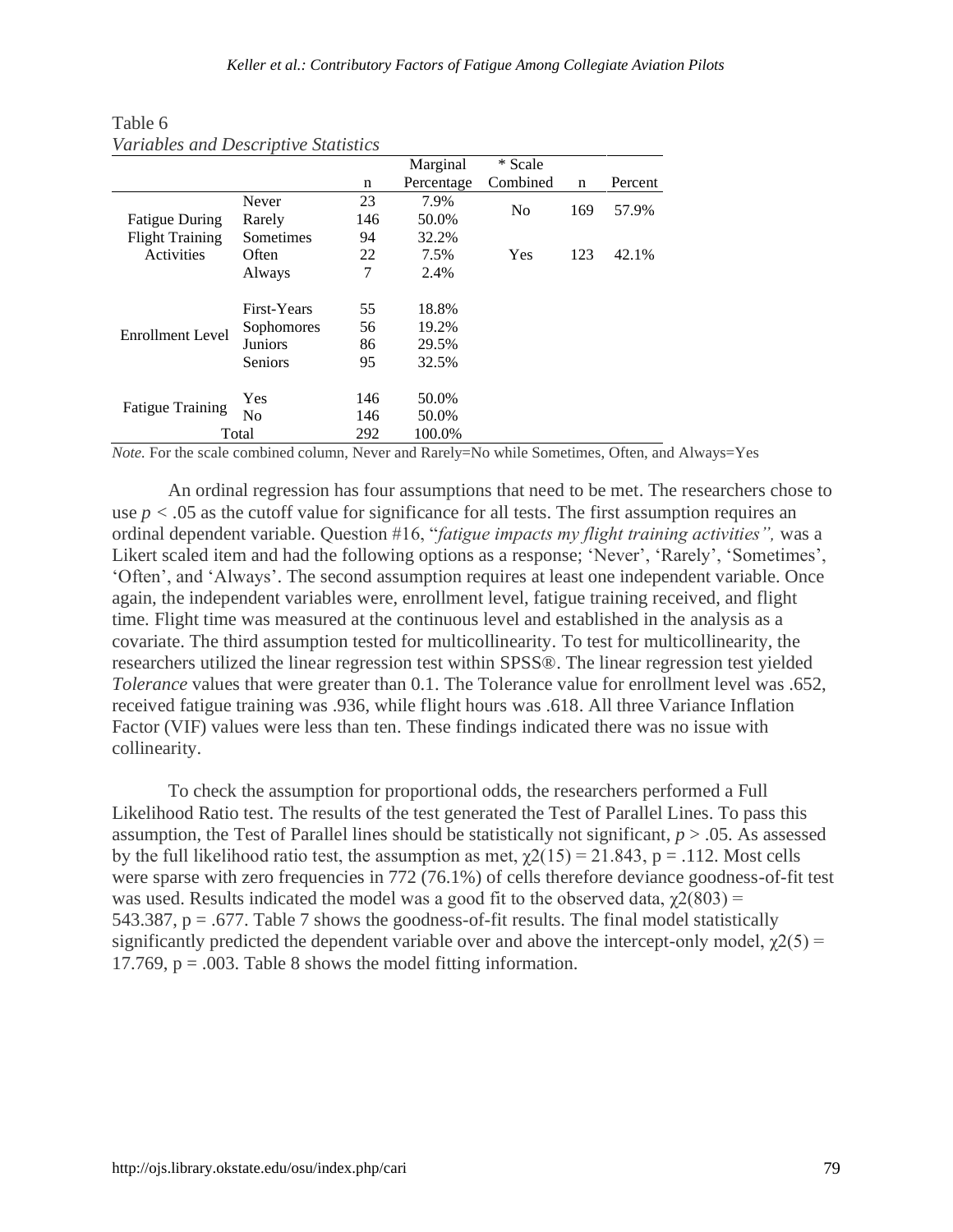|                         |                   |     | Marginal   | * Scale        |     |         |
|-------------------------|-------------------|-----|------------|----------------|-----|---------|
|                         |                   | n   | Percentage | Combined       | n   | Percent |
|                         | Never             | 23  | 7.9%       | N <sub>0</sub> | 169 |         |
| <b>Fatigue During</b>   | Rarely            | 146 | 50.0%      |                |     | 57.9%   |
| <b>Flight Training</b>  | Sometimes         | 94  | 32.2%      |                |     |         |
| Activities              | Often             | 22  | 7.5%       | Yes            | 123 | 42.1%   |
|                         | Always            | 7   | 2.4%       |                |     |         |
|                         | First-Years       | 55  | 18.8%      |                |     |         |
|                         | <b>Sophomores</b> | 56  | 19.2%      |                |     |         |
| <b>Enrollment Level</b> | Juniors           | 86  | 29.5%      |                |     |         |
|                         | <b>Seniors</b>    | 95  | 32.5%      |                |     |         |
|                         | Yes               | 146 | 50.0%      |                |     |         |
| <b>Fatigue Training</b> | N <sub>0</sub>    | 146 | 50.0%      |                |     |         |
|                         | Total             | 292 | 100.0%     |                |     |         |

Table 6 *Variables and Descriptive Statistics*

*Note.* For the scale combined column, Never and Rarely=No while Sometimes, Often, and Always=Yes

An ordinal regression has four assumptions that need to be met. The researchers chose to use  $p < 0.05$  as the cutoff value for significance for all tests. The first assumption requires an ordinal dependent variable. Question #16, "*fatigue impacts my flight training activities",* was a Likert scaled item and had the following options as a response; 'Never', 'Rarely', 'Sometimes', 'Often', and 'Always'. The second assumption requires at least one independent variable. Once again, the independent variables were, enrollment level, fatigue training received, and flight time. Flight time was measured at the continuous level and established in the analysis as a covariate. The third assumption tested for multicollinearity. To test for multicollinearity, the researchers utilized the linear regression test within SPSS®. The linear regression test yielded *Tolerance* values that were greater than 0.1. The Tolerance value for enrollment level was .652, received fatigue training was .936, while flight hours was .618. All three Variance Inflation Factor (VIF) values were less than ten. These findings indicated there was no issue with collinearity.

To check the assumption for proportional odds, the researchers performed a Full Likelihood Ratio test. The results of the test generated the Test of Parallel Lines. To pass this assumption, the Test of Parallel lines should be statistically not significant, *p* > .05. As assessed by the full likelihood ratio test, the assumption as met,  $\gamma$ 2(15) = 21.843, p = .112. Most cells were sparse with zero frequencies in 772 (76.1%) of cells therefore deviance goodness-of-fit test was used. Results indicated the model was a good fit to the observed data,  $\chi^2(803)$  = 543.387,  $p = 0.677$ . Table 7 shows the goodness-of-fit results. The final model statistically significantly predicted the dependent variable over and above the intercept-only model,  $\gamma(25)$  = 17.769,  $p = .003$ . Table 8 shows the model fitting information.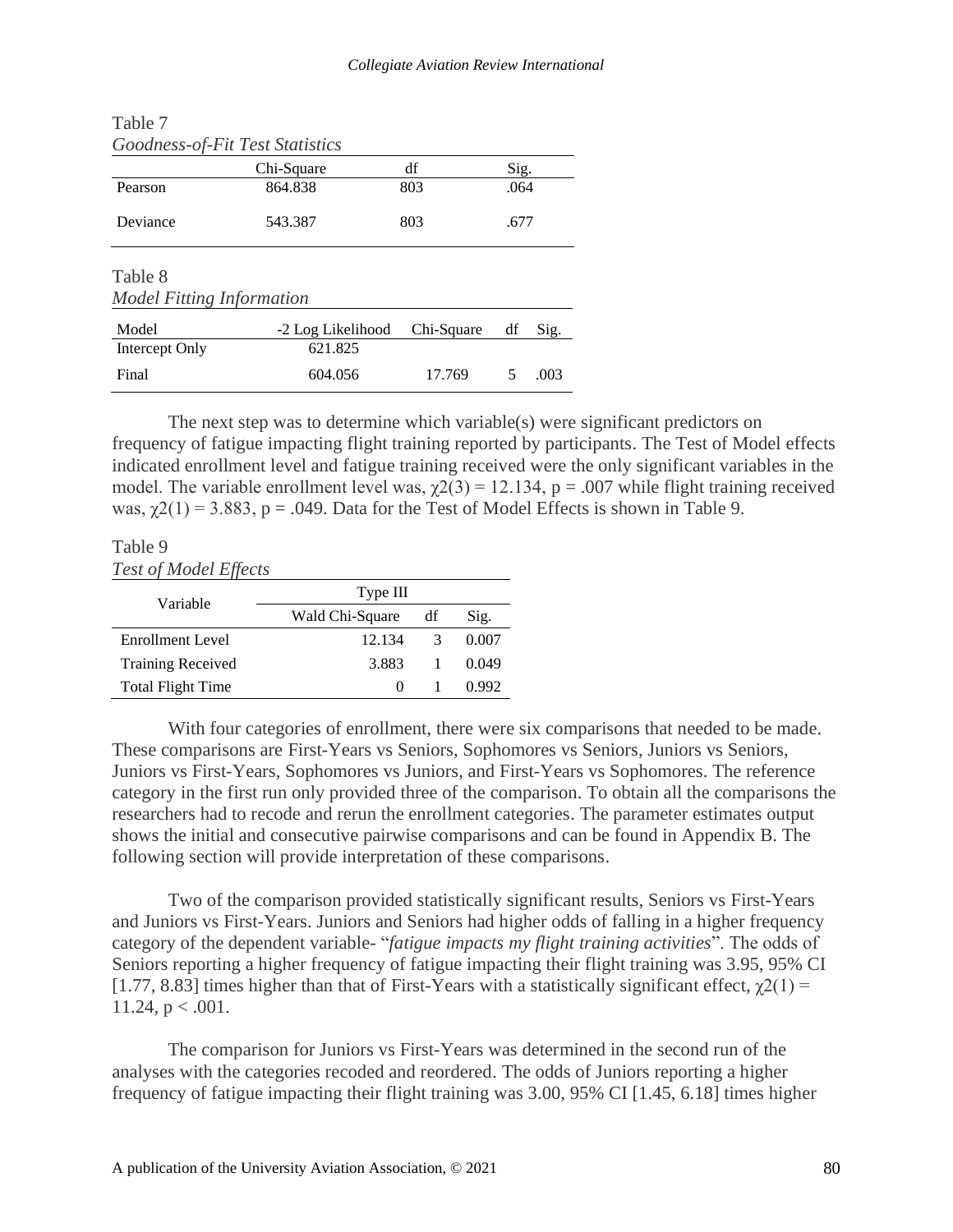|                                  | Goodness-of-Fit Test Statistics |            |      |      |
|----------------------------------|---------------------------------|------------|------|------|
|                                  | Chi-Square                      | df         | Sig. |      |
| Pearson                          | 864.838                         | 803        | .064 |      |
| Deviance                         | 543.387                         | 803        | .677 |      |
| Table 8                          |                                 |            |      |      |
| <b>Model Fitting Information</b> |                                 |            |      |      |
| Model                            | -2 Log Likelihood               | Chi-Square | df   | Sig. |
| Intercept Only                   | 621.825                         |            |      |      |
| Final                            | 604.056                         | 17.769     | 5    | .003 |

The next step was to determine which variable(s) were significant predictors on frequency of fatigue impacting flight training reported by participants. The Test of Model effects indicated enrollment level and fatigue training received were the only significant variables in the model. The variable enrollment level was,  $\chi$ 2(3) = 12.134, p = .007 while flight training received was,  $\gamma$ 2(1) = 3.883, p = .049. Data for the Test of Model Effects is shown in Table 9.

## Table 9

Table 7

*Test of Model Effects*

| Variable                 | Type III |               |       |
|--------------------------|----------|---------------|-------|
|                          | df       | Sig.          |       |
| Enrollment Level         | 12.134   | $\mathcal{R}$ | 0.007 |
| <b>Training Received</b> | 3.883    |               | 0.049 |
| <b>Total Flight Time</b> | $\theta$ |               | 0.992 |

With four categories of enrollment, there were six comparisons that needed to be made. These comparisons are First-Years vs Seniors, Sophomores vs Seniors, Juniors vs Seniors, Juniors vs First-Years, Sophomores vs Juniors, and First-Years vs Sophomores. The reference category in the first run only provided three of the comparison. To obtain all the comparisons the researchers had to recode and rerun the enrollment categories. The parameter estimates output shows the initial and consecutive pairwise comparisons and can be found in Appendix B. The following section will provide interpretation of these comparisons.

Two of the comparison provided statistically significant results, Seniors vs First-Years and Juniors vs First-Years. Juniors and Seniors had higher odds of falling in a higher frequency category of the dependent variable- "*fatigue impacts my flight training activities*". The odds of Seniors reporting a higher frequency of fatigue impacting their flight training was 3.95, 95% CI [1.77, 8.83] times higher than that of First-Years with a statistically significant effect,  $\gamma(1)$  = 11.24,  $p < .001$ .

The comparison for Juniors vs First-Years was determined in the second run of the analyses with the categories recoded and reordered. The odds of Juniors reporting a higher frequency of fatigue impacting their flight training was 3.00, 95% CI [1.45, 6.18] times higher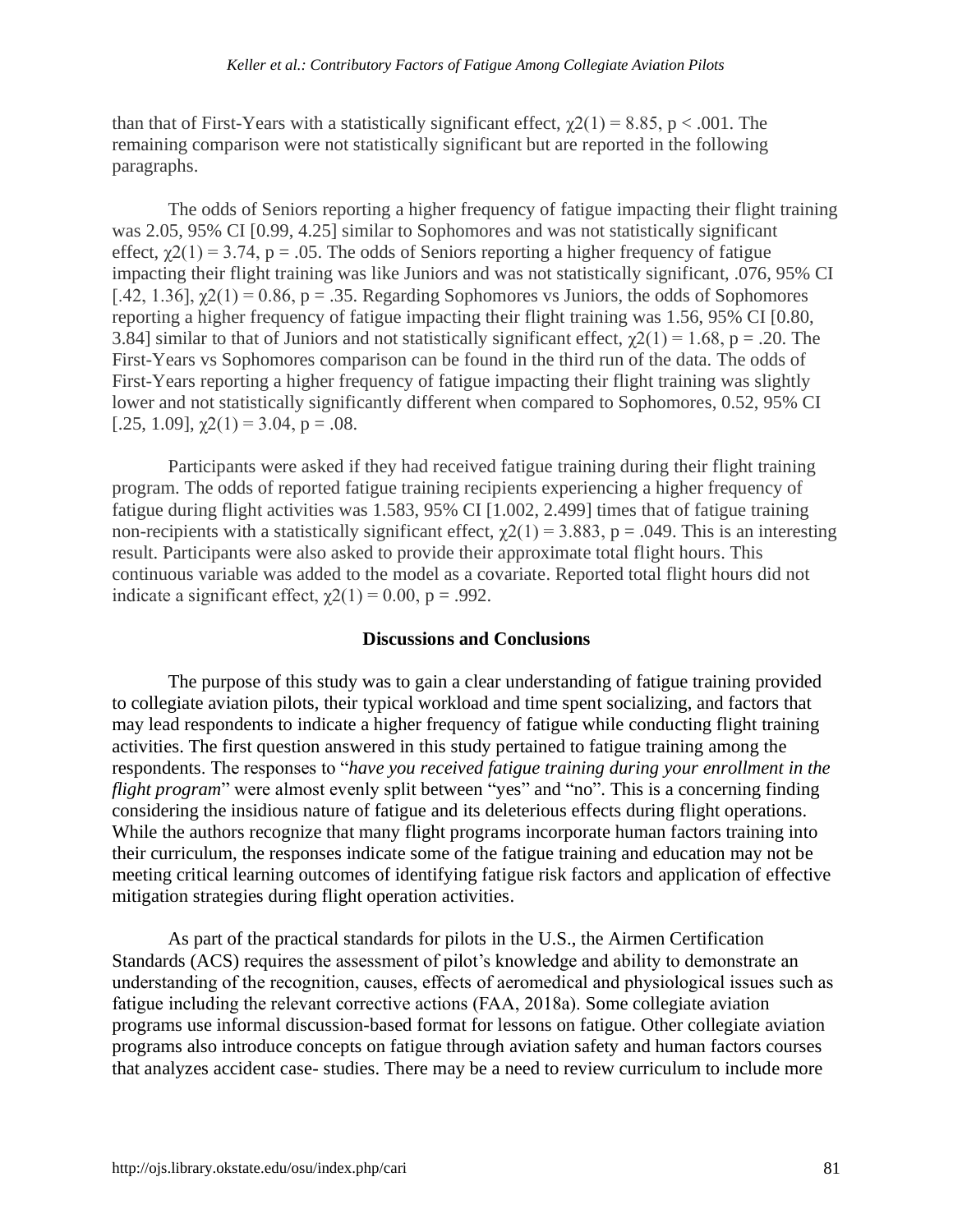than that of First-Years with a statistically significant effect,  $\gamma(21) = 8.85$ , p < .001. The remaining comparison were not statistically significant but are reported in the following paragraphs.

The odds of Seniors reporting a higher frequency of fatigue impacting their flight training was 2.05, 95% CI [0.99, 4.25] similar to Sophomores and was not statistically significant effect,  $\chi$ 2(1) = 3.74, p = .05. The odds of Seniors reporting a higher frequency of fatigue impacting their flight training was like Juniors and was not statistically significant, .076, 95% CI [.42, 1.36],  $\chi$ 2(1) = 0.86, p = .35. Regarding Sophomores vs Juniors, the odds of Sophomores reporting a higher frequency of fatigue impacting their flight training was 1.56, 95% CI [0.80, 3.84] similar to that of Juniors and not statistically significant effect,  $\gamma$ 2(1) = 1.68, p = .20. The First-Years vs Sophomores comparison can be found in the third run of the data. The odds of First-Years reporting a higher frequency of fatigue impacting their flight training was slightly lower and not statistically significantly different when compared to Sophomores, 0.52, 95% CI [.25, 1.09],  $\gamma$ 2(1) = 3.04, p = .08.

Participants were asked if they had received fatigue training during their flight training program. The odds of reported fatigue training recipients experiencing a higher frequency of fatigue during flight activities was 1.583, 95% CI [1.002, 2.499] times that of fatigue training non-recipients with a statistically significant effect,  $\gamma$ 2(1) = 3.883, p = .049. This is an interesting result. Participants were also asked to provide their approximate total flight hours. This continuous variable was added to the model as a covariate. Reported total flight hours did not indicate a significant effect,  $\gamma$ 2(1) = 0.00, p = .992.

#### **Discussions and Conclusions**

The purpose of this study was to gain a clear understanding of fatigue training provided to collegiate aviation pilots, their typical workload and time spent socializing, and factors that may lead respondents to indicate a higher frequency of fatigue while conducting flight training activities. The first question answered in this study pertained to fatigue training among the respondents. The responses to "*have you received fatigue training during your enrollment in the flight program*" were almost evenly split between "yes" and "no". This is a concerning finding considering the insidious nature of fatigue and its deleterious effects during flight operations. While the authors recognize that many flight programs incorporate human factors training into their curriculum, the responses indicate some of the fatigue training and education may not be meeting critical learning outcomes of identifying fatigue risk factors and application of effective mitigation strategies during flight operation activities.

As part of the practical standards for pilots in the U.S., the Airmen Certification Standards (ACS) requires the assessment of pilot's knowledge and ability to demonstrate an understanding of the recognition, causes, effects of aeromedical and physiological issues such as fatigue including the relevant corrective actions (FAA, 2018a). Some collegiate aviation programs use informal discussion-based format for lessons on fatigue. Other collegiate aviation programs also introduce concepts on fatigue through aviation safety and human factors courses that analyzes accident case- studies. There may be a need to review curriculum to include more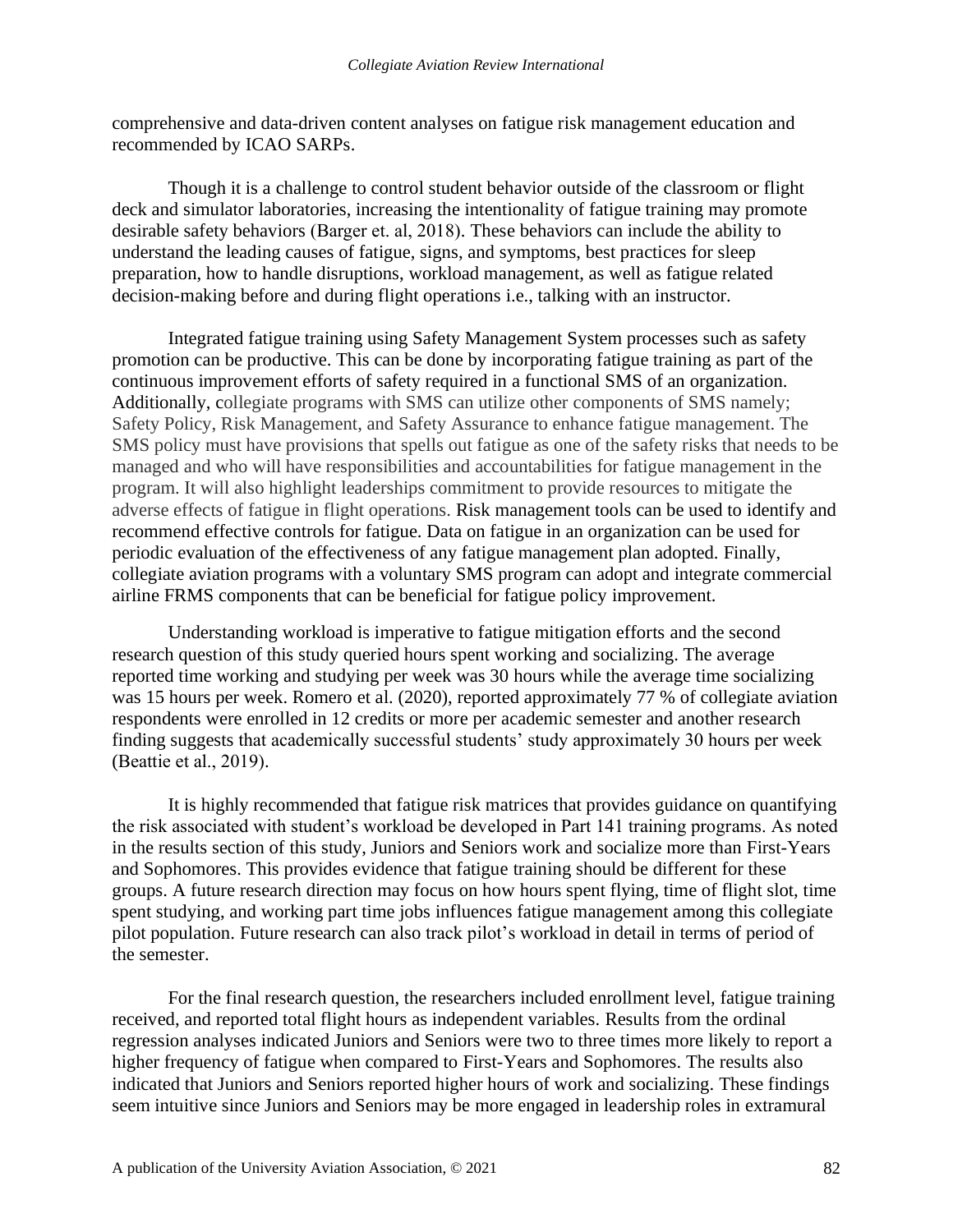comprehensive and data-driven content analyses on fatigue risk management education and recommended by ICAO SARPs.

Though it is a challenge to control student behavior outside of the classroom or flight deck and simulator laboratories, increasing the intentionality of fatigue training may promote desirable safety behaviors (Barger et. al, 2018). These behaviors can include the ability to understand the leading causes of fatigue, signs, and symptoms, best practices for sleep preparation, how to handle disruptions, workload management, as well as fatigue related decision-making before and during flight operations i.e., talking with an instructor.

Integrated fatigue training using Safety Management System processes such as safety promotion can be productive. This can be done by incorporating fatigue training as part of the continuous improvement efforts of safety required in a functional SMS of an organization. Additionally, collegiate programs with SMS can utilize other components of SMS namely; Safety Policy, Risk Management, and Safety Assurance to enhance fatigue management. The SMS policy must have provisions that spells out fatigue as one of the safety risks that needs to be managed and who will have responsibilities and accountabilities for fatigue management in the program. It will also highlight leaderships commitment to provide resources to mitigate the adverse effects of fatigue in flight operations. Risk management tools can be used to identify and recommend effective controls for fatigue. Data on fatigue in an organization can be used for periodic evaluation of the effectiveness of any fatigue management plan adopted. Finally, collegiate aviation programs with a voluntary SMS program can adopt and integrate commercial airline FRMS components that can be beneficial for fatigue policy improvement.

Understanding workload is imperative to fatigue mitigation efforts and the second research question of this study queried hours spent working and socializing. The average reported time working and studying per week was 30 hours while the average time socializing was 15 hours per week. Romero et al. (2020), reported approximately 77 % of collegiate aviation respondents were enrolled in 12 credits or more per academic semester and another research finding suggests that academically successful students' study approximately 30 hours per week (Beattie et al., 2019).

It is highly recommended that fatigue risk matrices that provides guidance on quantifying the risk associated with student's workload be developed in Part 141 training programs. As noted in the results section of this study, Juniors and Seniors work and socialize more than First-Years and Sophomores. This provides evidence that fatigue training should be different for these groups. A future research direction may focus on how hours spent flying, time of flight slot, time spent studying, and working part time jobs influences fatigue management among this collegiate pilot population. Future research can also track pilot's workload in detail in terms of period of the semester.

For the final research question, the researchers included enrollment level, fatigue training received, and reported total flight hours as independent variables. Results from the ordinal regression analyses indicated Juniors and Seniors were two to three times more likely to report a higher frequency of fatigue when compared to First-Years and Sophomores. The results also indicated that Juniors and Seniors reported higher hours of work and socializing. These findings seem intuitive since Juniors and Seniors may be more engaged in leadership roles in extramural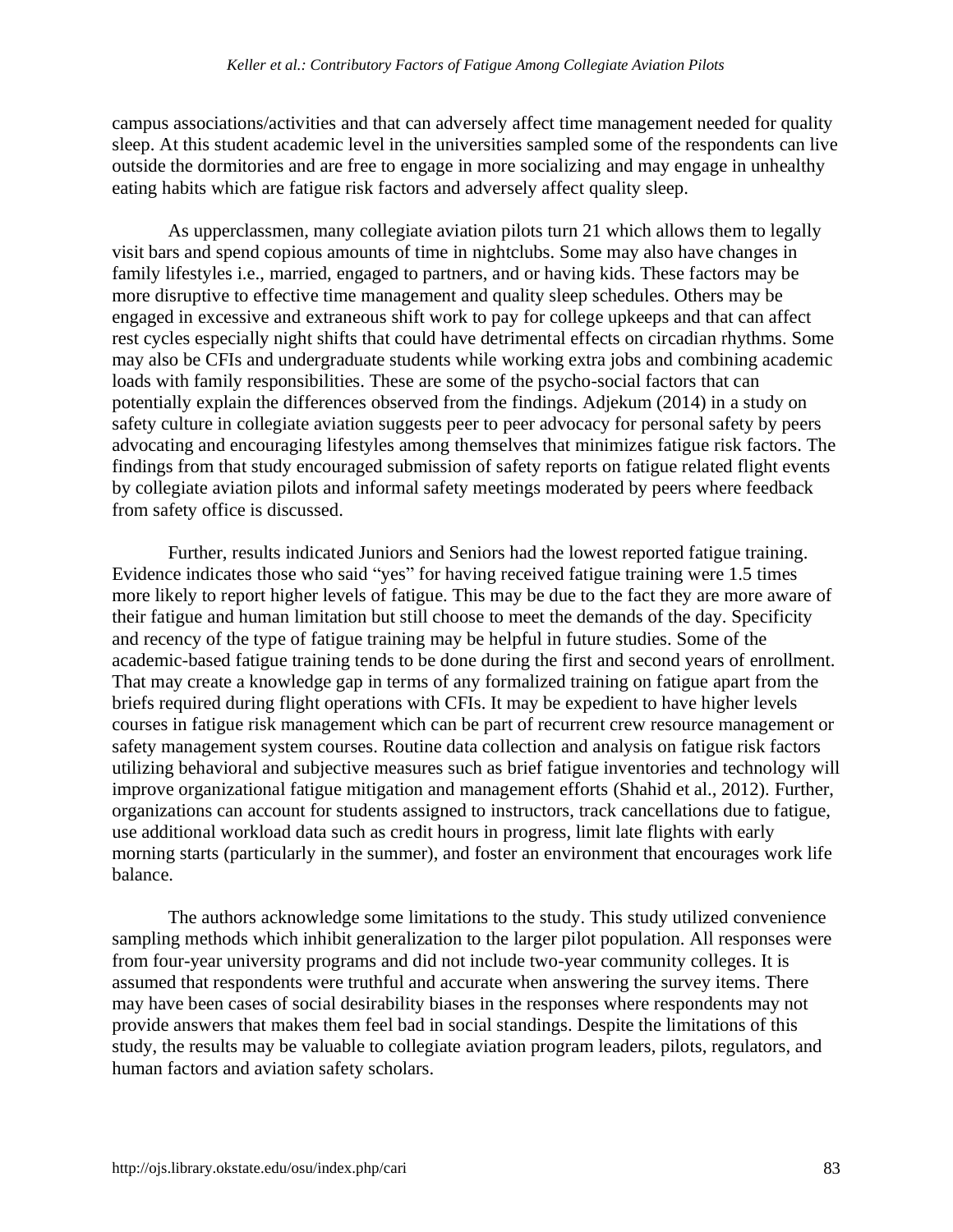campus associations/activities and that can adversely affect time management needed for quality sleep. At this student academic level in the universities sampled some of the respondents can live outside the dormitories and are free to engage in more socializing and may engage in unhealthy eating habits which are fatigue risk factors and adversely affect quality sleep.

As upperclassmen, many collegiate aviation pilots turn 21 which allows them to legally visit bars and spend copious amounts of time in nightclubs. Some may also have changes in family lifestyles i.e., married, engaged to partners, and or having kids. These factors may be more disruptive to effective time management and quality sleep schedules. Others may be engaged in excessive and extraneous shift work to pay for college upkeeps and that can affect rest cycles especially night shifts that could have detrimental effects on circadian rhythms. Some may also be CFIs and undergraduate students while working extra jobs and combining academic loads with family responsibilities. These are some of the psycho-social factors that can potentially explain the differences observed from the findings. Adjekum (2014) in a study on safety culture in collegiate aviation suggests peer to peer advocacy for personal safety by peers advocating and encouraging lifestyles among themselves that minimizes fatigue risk factors. The findings from that study encouraged submission of safety reports on fatigue related flight events by collegiate aviation pilots and informal safety meetings moderated by peers where feedback from safety office is discussed.

Further, results indicated Juniors and Seniors had the lowest reported fatigue training. Evidence indicates those who said "yes" for having received fatigue training were 1.5 times more likely to report higher levels of fatigue. This may be due to the fact they are more aware of their fatigue and human limitation but still choose to meet the demands of the day. Specificity and recency of the type of fatigue training may be helpful in future studies. Some of the academic-based fatigue training tends to be done during the first and second years of enrollment. That may create a knowledge gap in terms of any formalized training on fatigue apart from the briefs required during flight operations with CFIs. It may be expedient to have higher levels courses in fatigue risk management which can be part of recurrent crew resource management or safety management system courses. Routine data collection and analysis on fatigue risk factors utilizing behavioral and subjective measures such as brief fatigue inventories and technology will improve organizational fatigue mitigation and management efforts (Shahid et al., 2012). Further, organizations can account for students assigned to instructors, track cancellations due to fatigue, use additional workload data such as credit hours in progress, limit late flights with early morning starts (particularly in the summer), and foster an environment that encourages work life balance.

The authors acknowledge some limitations to the study. This study utilized convenience sampling methods which inhibit generalization to the larger pilot population. All responses were from four-year university programs and did not include two-year community colleges. It is assumed that respondents were truthful and accurate when answering the survey items. There may have been cases of social desirability biases in the responses where respondents may not provide answers that makes them feel bad in social standings. Despite the limitations of this study, the results may be valuable to collegiate aviation program leaders, pilots, regulators, and human factors and aviation safety scholars.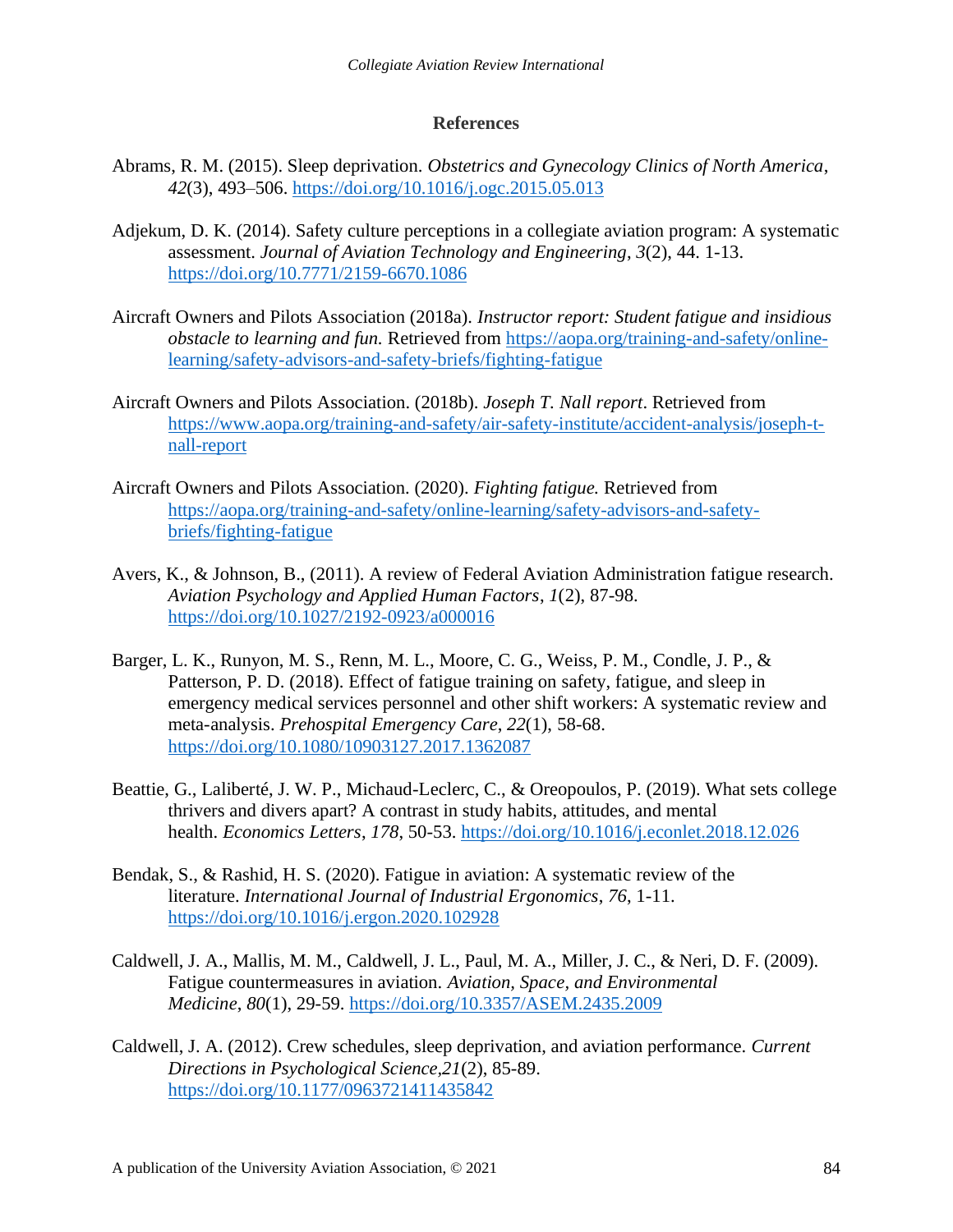#### **References**

- Abrams, R. M. (2015). Sleep deprivation. *Obstetrics and Gynecology Clinics of North America*, *42*(3), 493–506.<https://doi.org/10.1016/j.ogc.2015.05.013>
- Adjekum, D. K. (2014). Safety culture perceptions in a collegiate aviation program: A systematic assessment. *Journal of Aviation Technology and Engineering*, *3*(2), 44. 1-13. <https://doi.org/10.7771/2159-6670.1086>
- Aircraft Owners and Pilots Association (2018a). *Instructor report: Student fatigue and insidious obstacle to learning and fun.* Retrieved from [https://aopa.org/training-and-safety/online](https://aopa.org/training-and-safety/online-learning/safety-advisors-and-safety-briefs/fighting-fatigue)[learning/safety-advisors-and-safety-briefs/fighting-fatigue](https://aopa.org/training-and-safety/online-learning/safety-advisors-and-safety-briefs/fighting-fatigue)
- Aircraft Owners and Pilots Association. (2018b). *Joseph T. Nall report*. Retrieved from [https://www.aopa.org/training-and-safety/air-safety-institute/accident-analysis/joseph-t](https://www.aopa.org/training-and-safety/air-safety-institute/accident-analysis/joseph-t-nall-report)[nall-report](https://www.aopa.org/training-and-safety/air-safety-institute/accident-analysis/joseph-t-nall-report)
- Aircraft Owners and Pilots Association. (2020). *Fighting fatigue.* Retrieved from [https://aopa.org/training-and-safety/online-learning/safety-advisors-and-safety](https://aopa.org/training-and-safety/online-learning/safety-advisors-and-safety-briefs/fighting-fatigue)[briefs/fighting-fatigue](https://aopa.org/training-and-safety/online-learning/safety-advisors-and-safety-briefs/fighting-fatigue)
- Avers, K., & Johnson, B., (2011). A review of Federal Aviation Administration fatigue research. *Aviation Psychology and Applied Human Factors*, *1*(2), 87-98. <https://doi.org/10.1027/2192-0923/a000016>
- Barger, L. K., Runyon, M. S., Renn, M. L., Moore, C. G., Weiss, P. M., Condle, J. P., & Patterson, P. D. (2018). Effect of fatigue training on safety, fatigue, and sleep in emergency medical services personnel and other shift workers: A systematic review and meta-analysis. *Prehospital Emergency Care*, *22*(1), 58-68. <https://doi.org/10.1080/10903127.2017.1362087>
- Beattie, G., Laliberté, J. W. P., Michaud-Leclerc, C., & Oreopoulos, P. (2019). What sets college thrivers and divers apart? A contrast in study habits, attitudes, and mental health. *Economics Letters*, *178*, 50-53.<https://doi.org/10.1016/j.econlet.2018.12.026>
- Bendak, S., & Rashid, H. S. (2020). Fatigue in aviation: A systematic review of the literature. *International Journal of Industrial Ergonomics*, *76*, 1-11. <https://doi.org/10.1016/j.ergon.2020.102928>
- Caldwell, J. A., Mallis, M. M., Caldwell, J. L., Paul, M. A., Miller, J. C., & Neri, D. F. (2009). Fatigue countermeasures in aviation. *Aviation, Space, and Environmental Medicine*, *80*(1), 29-59.<https://doi.org/10.3357/ASEM.2435.2009>
- Caldwell, J. A. (2012). Crew schedules, sleep deprivation, and aviation performance. *Current Directions in Psychological Science,21*(2), 85-89. <https://doi.org/10.1177/0963721411435842>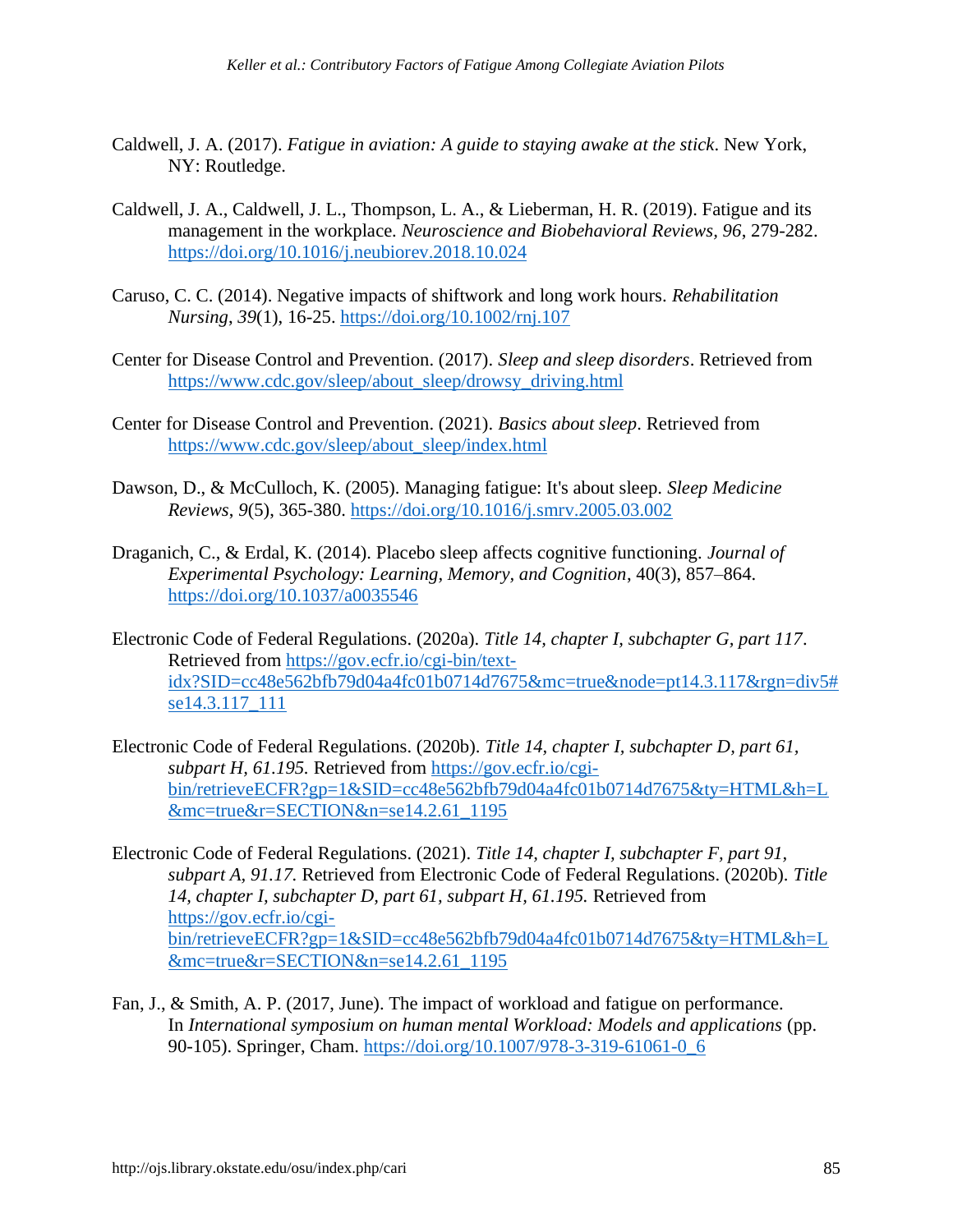- Caldwell, J. A. (2017). *Fatigue in aviation: A guide to staying awake at the stick*. New York, NY: Routledge.
- Caldwell, J. A., Caldwell, J. L., Thompson, L. A., & Lieberman, H. R. (2019). Fatigue and its management in the workplace. *Neuroscience and Biobehavioral Reviews, 96*, 279-282. <https://doi.org/10.1016/j.neubiorev.2018.10.024>
- Caruso, C. C. (2014). Negative impacts of shiftwork and long work hours. *Rehabilitation Nursing*, *39*(1), 16-25.<https://doi.org/10.1002/rnj.107>
- Center for Disease Control and Prevention. (2017). *Sleep and sleep disorders*. Retrieved from [https://www.cdc.gov/sleep/about\\_sleep/drowsy\\_driving.html](https://www.cdc.gov/sleep/about_sleep/drowsy_driving.html)
- Center for Disease Control and Prevention. (2021). *Basics about sleep*. Retrieved from [https://www.cdc.gov/sleep/about\\_sleep/index.html](https://www.cdc.gov/sleep/about_sleep/index.html)
- Dawson, D., & McCulloch, K. (2005). Managing fatigue: It's about sleep. *Sleep Medicine Reviews*, *9*(5), 365-380.<https://doi.org/10.1016/j.smrv.2005.03.002>
- Draganich, C., & Erdal, K. (2014). Placebo sleep affects cognitive functioning. *Journal of Experimental Psychology: Learning, Memory, and Cognition*, 40(3), 857–864. <https://doi.org/10.1037/a0035546>
- Electronic Code of Federal Regulations. (2020a). *Title 14, chapter I, subchapter G, part 117*. Retrieved from [https://gov.ecfr.io/cgi-bin/text](https://gov.ecfr.io/cgi-bin/text-idx?SID=cc48e562bfb79d04a4fc01b0714d7675&mc=true&node=pt14.3.117&rgn=div5#se14.3.117_111)[idx?SID=cc48e562bfb79d04a4fc01b0714d7675&mc=true&node=pt14.3.117&rgn=div5#](https://gov.ecfr.io/cgi-bin/text-idx?SID=cc48e562bfb79d04a4fc01b0714d7675&mc=true&node=pt14.3.117&rgn=div5#se14.3.117_111) [se14.3.117\\_111](https://gov.ecfr.io/cgi-bin/text-idx?SID=cc48e562bfb79d04a4fc01b0714d7675&mc=true&node=pt14.3.117&rgn=div5#se14.3.117_111)
- Electronic Code of Federal Regulations. (2020b). *Title 14, chapter I, subchapter D, part 61, subpart H, 61.195.* Retrieved from [https://gov.ecfr.io/cgi](https://gov.ecfr.io/cgi-bin/retrieveECFR?gp=1&SID=cc48e562bfb79d04a4fc01b0714d7675&ty=HTML&h=L&mc=true&r=SECTION&n=se14.2.61_1195)[bin/retrieveECFR?gp=1&SID=cc48e562bfb79d04a4fc01b0714d7675&ty=HTML&h=L](https://gov.ecfr.io/cgi-bin/retrieveECFR?gp=1&SID=cc48e562bfb79d04a4fc01b0714d7675&ty=HTML&h=L&mc=true&r=SECTION&n=se14.2.61_1195) [&mc=true&r=SECTION&n=se14.2.61\\_1195](https://gov.ecfr.io/cgi-bin/retrieveECFR?gp=1&SID=cc48e562bfb79d04a4fc01b0714d7675&ty=HTML&h=L&mc=true&r=SECTION&n=se14.2.61_1195)
- Electronic Code of Federal Regulations. (2021). *Title 14, chapter I, subchapter F, part 91, subpart A, 91.17.* Retrieved from Electronic Code of Federal Regulations. (2020b). *Title 14, chapter I, subchapter D, part 61, subpart H, 61.195.* Retrieved from [https://gov.ecfr.io/cgi](https://gov.ecfr.io/cgi-bin/retrieveECFR?gp=1&SID=cc48e562bfb79d04a4fc01b0714d7675&ty=HTML&h=L&mc=true&r=SECTION&n=se14.2.61_1195)[bin/retrieveECFR?gp=1&SID=cc48e562bfb79d04a4fc01b0714d7675&ty=HTML&h=L](https://gov.ecfr.io/cgi-bin/retrieveECFR?gp=1&SID=cc48e562bfb79d04a4fc01b0714d7675&ty=HTML&h=L&mc=true&r=SECTION&n=se14.2.61_1195) [&mc=true&r=SECTION&n=se14.2.61\\_1195](https://gov.ecfr.io/cgi-bin/retrieveECFR?gp=1&SID=cc48e562bfb79d04a4fc01b0714d7675&ty=HTML&h=L&mc=true&r=SECTION&n=se14.2.61_1195)
- Fan, J., & Smith, A. P. (2017, June). The impact of workload and fatigue on performance. In *International symposium on human mental Workload: Models and applications* (pp. 90-105). Springer, Cham. [https://doi.org/10.1007/978-3-319-61061-0\\_6](https://doi.org/10.1007/978-3-319-61061-0_6)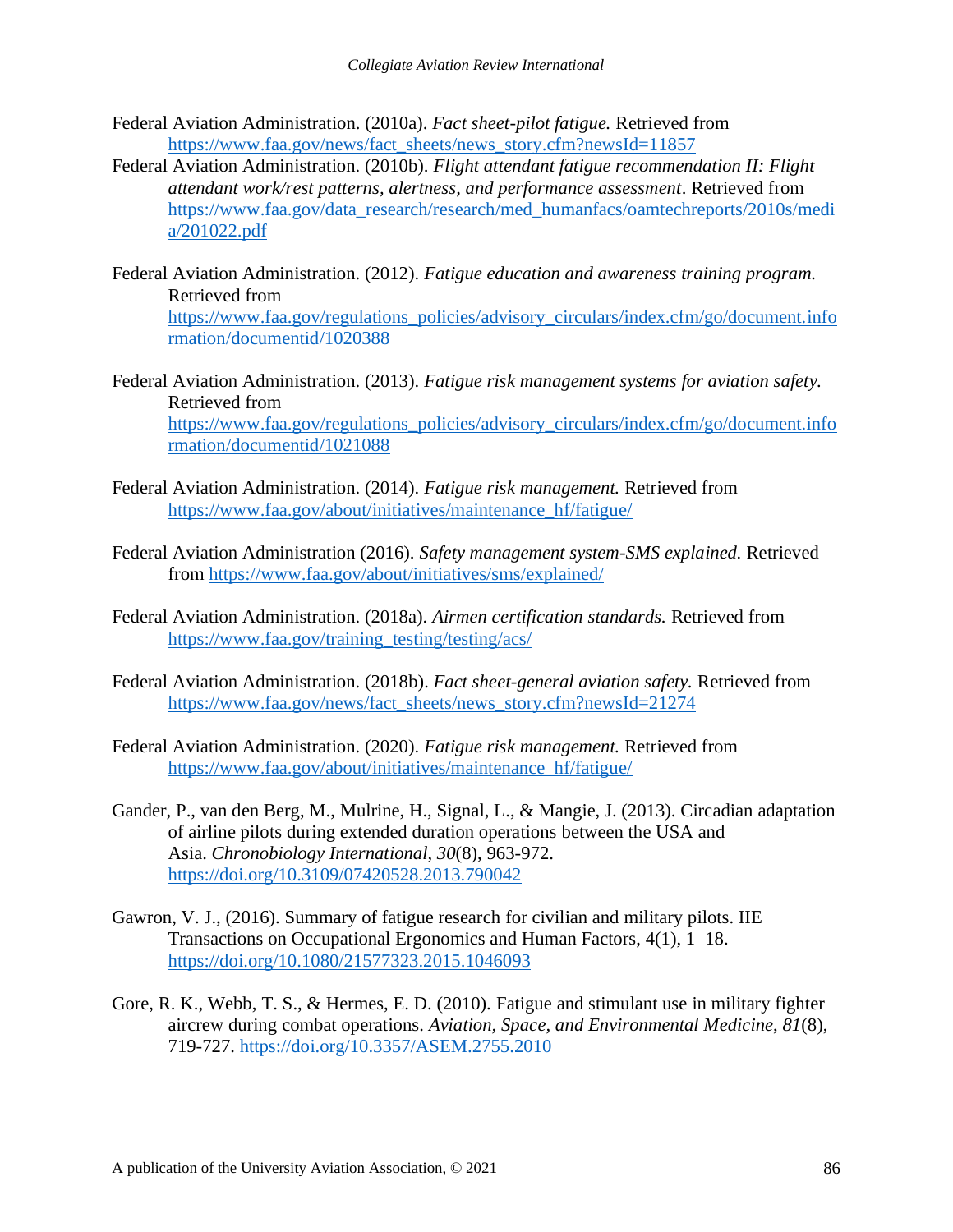- Federal Aviation Administration. (2010a). *Fact sheet-pilot fatigue.* Retrieved from [https://www.faa.gov/news/fact\\_sheets/news\\_story.cfm?newsId=11857](https://www.faa.gov/news/fact_sheets/news_story.cfm?newsId=11857)
- Federal Aviation Administration. (2010b). *Flight attendant fatigue recommendation II: Flight attendant work/rest patterns, alertness, and performance assessment*. Retrieved from [https://www.faa.gov/data\\_research/research/med\\_humanfacs/oamtechreports/2010s/medi](https://www.faa.gov/data_research/research/med_humanfacs/oamtechreports/2010s/media/201022.pdf) [a/201022.pdf](https://www.faa.gov/data_research/research/med_humanfacs/oamtechreports/2010s/media/201022.pdf)
- Federal Aviation Administration. (2012). *Fatigue education and awareness training program.*  Retrieved from [https://www.faa.gov/regulations\\_policies/advisory\\_circulars/index.cfm/go/document.info](https://www.faa.gov/regulations_policies/advisory_circulars/index.cfm/go/document.information/documentid/1020388) [rmation/documentid/1020388](https://www.faa.gov/regulations_policies/advisory_circulars/index.cfm/go/document.information/documentid/1020388)
- Federal Aviation Administration. (2013). *Fatigue risk management systems for aviation safety.*  Retrieved from [https://www.faa.gov/regulations\\_policies/advisory\\_circulars/index.cfm/go/document.info](https://www.faa.gov/regulations_policies/advisory_circulars/index.cfm/go/document.information/documentid/1021088) [rmation/documentid/1021088](https://www.faa.gov/regulations_policies/advisory_circulars/index.cfm/go/document.information/documentid/1021088)
- Federal Aviation Administration. (2014). *Fatigue risk management.* Retrieved from [https://www.faa.gov/about/initiatives/maintenance\\_hf/fatigue/](https://www.faa.gov/about/initiatives/maintenance_hf/fatigue/)
- Federal Aviation Administration (2016). *Safety management system-SMS explained.* Retrieved from<https://www.faa.gov/about/initiatives/sms/explained/>
- Federal Aviation Administration. (2018a). *Airmen certification standards.* Retrieved from [https://www.faa.gov/training\\_testing/testing/acs/](https://www.faa.gov/training_testing/testing/acs/)
- Federal Aviation Administration. (2018b). *Fact sheet-general aviation safety.* Retrieved from [https://www.faa.gov/news/fact\\_sheets/news\\_story.cfm?newsId=21274](https://www.faa.gov/news/fact_sheets/news_story.cfm?newsId=21274)
- Federal Aviation Administration. (2020). *Fatigue risk management.* Retrieved from [https://www.faa.gov/about/initiatives/maintenance\\_hf/fatigue/](https://www.faa.gov/about/initiatives/maintenance_hf/fatigue/)
- Gander, P., van den Berg, M., Mulrine, H., Signal, L., & Mangie, J. (2013). Circadian adaptation of airline pilots during extended duration operations between the USA and Asia. *Chronobiology International*, *30*(8), 963-972. <https://doi.org/10.3109/07420528.2013.790042>
- Gawron, V. J., (2016). Summary of fatigue research for civilian and military pilots. IIE Transactions on Occupational Ergonomics and Human Factors, 4(1), 1–18. <https://doi.org/10.1080/21577323.2015.1046093>
- Gore, R. K., Webb, T. S., & Hermes, E. D. (2010). Fatigue and stimulant use in military fighter aircrew during combat operations. *Aviation, Space, and Environmental Medicine*, *81*(8), 719-727. <https://doi.org/10.3357/ASEM.2755.2010>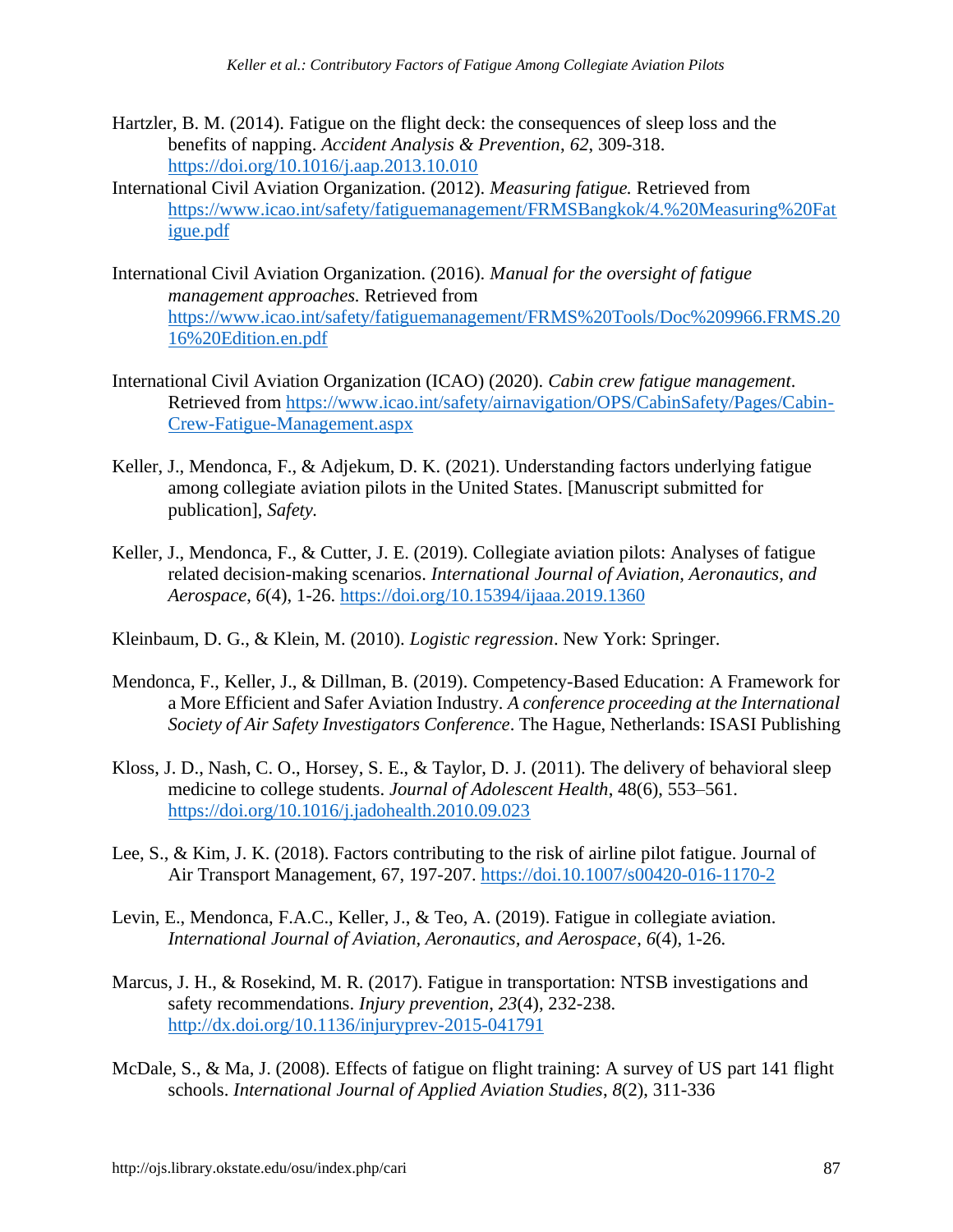- Hartzler, B. M. (2014). Fatigue on the flight deck: the consequences of sleep loss and the benefits of napping. *Accident Analysis & Prevention*, *62*, 309-318. <https://doi.org/10.1016/j.aap.2013.10.010>
- International Civil Aviation Organization. (2012). *Measuring fatigue.* Retrieved from [https://www.icao.int/safety/fatiguemanagement/FRMSBangkok/4.%20Measuring%20Fat](https://www.icao.int/safety/fatiguemanagement/FRMSBangkok/4.%20Measuring%20Fatigue.pdf) [igue.pdf](https://www.icao.int/safety/fatiguemanagement/FRMSBangkok/4.%20Measuring%20Fatigue.pdf)
- International Civil Aviation Organization. (2016). *Manual for the oversight of fatigue management approaches.* Retrieved from [https://www.icao.int/safety/fatiguemanagement/FRMS%20Tools/Doc%209966.FRMS.20](https://www.icao.int/safety/fatiguemanagement/FRMS%20Tools/Doc%209966.FRMS.2016%20Edition.en.pdf) [16%20Edition.en.pdf](https://www.icao.int/safety/fatiguemanagement/FRMS%20Tools/Doc%209966.FRMS.2016%20Edition.en.pdf)
- International Civil Aviation Organization (ICAO) (2020). *Cabin crew fatigue management*. Retrieved from [https://www.icao.int/safety/airnavigation/OPS/CabinSafety/Pages/Cabin-](https://www.icao.int/safety/airnavigation/OPS/CabinSafety/Pages/Cabin-Crew-Fatigue-Management.aspx)[Crew-Fatigue-Management.aspx](https://www.icao.int/safety/airnavigation/OPS/CabinSafety/Pages/Cabin-Crew-Fatigue-Management.aspx)
- Keller, J., Mendonca, F., & Adjekum, D. K. (2021). Understanding factors underlying fatigue among collegiate aviation pilots in the United States. [Manuscript submitted for publication], *Safety.*
- Keller, J., Mendonca, F., & Cutter, J. E. (2019). Collegiate aviation pilots: Analyses of fatigue related decision-making scenarios. *International Journal of Aviation, Aeronautics, and Aerospace*, *6*(4), 1-26.<https://doi.org/10.15394/ijaaa.2019.1360>
- Kleinbaum, D. G., & Klein, M. (2010). *Logistic regression*. New York: Springer.
- Mendonca, F., Keller, J., & Dillman, B. (2019). Competency-Based Education: A Framework for a More Efficient and Safer Aviation Industry*. A conference proceeding at the International Society of Air Safety Investigators Conference*. The Hague, Netherlands: ISASI Publishing
- Kloss, J. D., Nash, C. O., Horsey, S. E., & Taylor, D. J. (2011). The delivery of behavioral sleep medicine to college students. *Journal of Adolescent Health*, 48(6), 553–561. <https://doi.org/10.1016/j.jadohealth.2010.09.023>
- Lee, S., & Kim, J. K. (2018). Factors contributing to the risk of airline pilot fatigue. Journal of Air Transport Management, 67, 197-207.<https://doi.10.1007/s00420-016-1170-2>
- Levin, E., Mendonca, F.A.C., Keller, J., & Teo, A. (2019). Fatigue in collegiate aviation. *International Journal of Aviation, Aeronautics, and Aerospace*, *6*(4), 1-26.
- Marcus, J. H., & Rosekind, M. R. (2017). Fatigue in transportation: NTSB investigations and safety recommendations. *Injury prevention*, *23*(4), 232-238. <http://dx.doi.org/10.1136/injuryprev-2015-041791>
- McDale, S., & Ma, J. (2008). Effects of fatigue on flight training: A survey of US part 141 flight schools. *International Journal of Applied Aviation Studies*, *8*(2), 311-336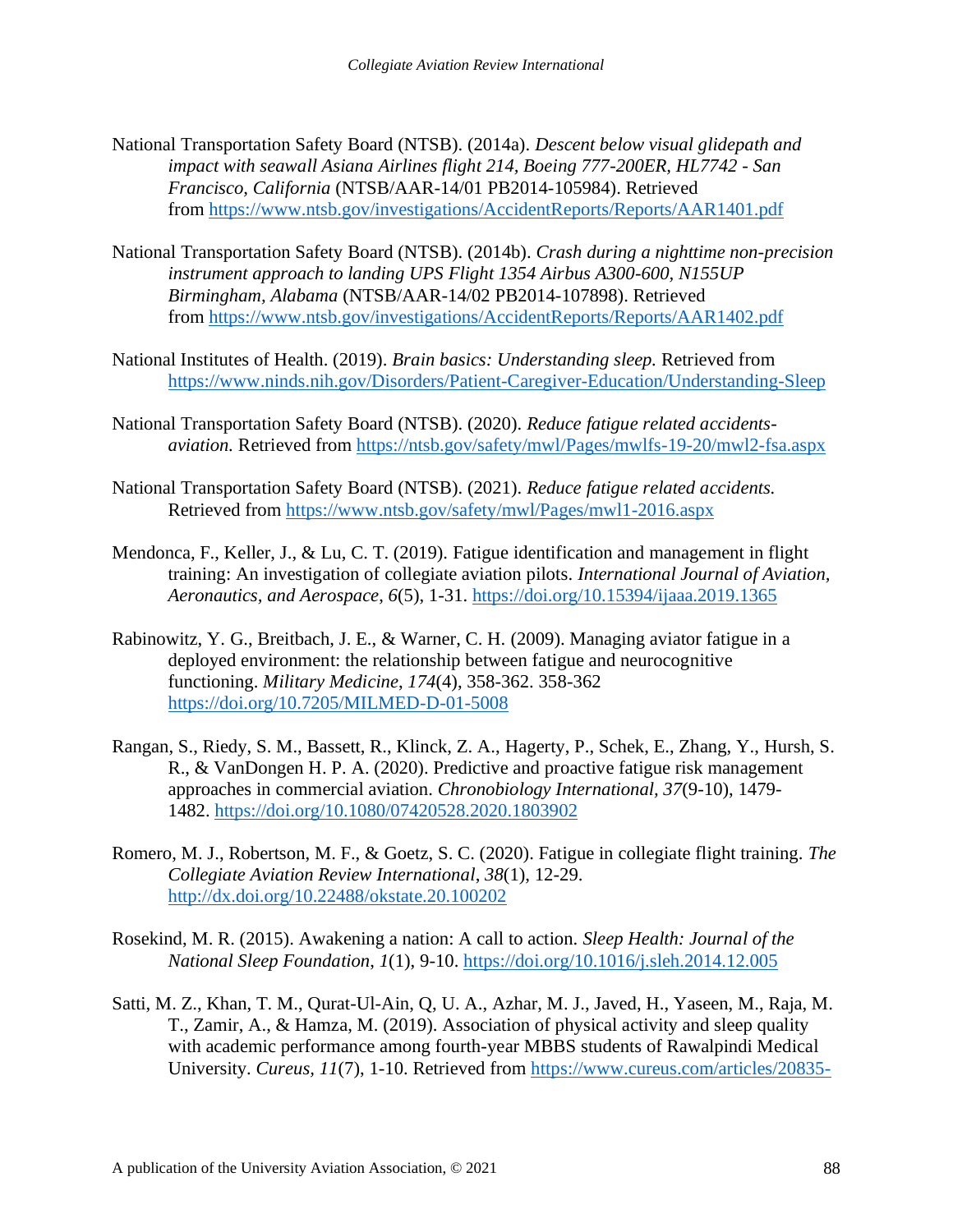- National Transportation Safety Board (NTSB). (2014a). *Descent below visual glidepath and impact with seawall Asiana Airlines flight 214, Boeing 777-200ER, HL7742 - San Francisco, California* (NTSB/AAR-14/01 PB2014-105984). Retrieved from <https://www.ntsb.gov/investigations/AccidentReports/Reports/AAR1401.pdf>
- National Transportation Safety Board (NTSB). (2014b). *Crash during a nighttime non-precision instrument approach to landing UPS Flight 1354 Airbus A300-600, N155UP Birmingham, Alabama* (NTSB/AAR-14/02 PB2014-107898). Retrieved from <https://www.ntsb.gov/investigations/AccidentReports/Reports/AAR1402.pdf>
- National Institutes of Health. (2019). *Brain basics: Understanding sleep.* Retrieved from <https://www.ninds.nih.gov/Disorders/Patient-Caregiver-Education/Understanding-Sleep>
- National Transportation Safety Board (NTSB). (2020). *Reduce fatigue related accidentsaviation.* Retrieved from<https://ntsb.gov/safety/mwl/Pages/mwlfs-19-20/mwl2-fsa.aspx>
- National Transportation Safety Board (NTSB). (2021). *Reduce fatigue related accidents.*  Retrieved from<https://www.ntsb.gov/safety/mwl/Pages/mwl1-2016.aspx>
- Mendonca, F., Keller, J., & Lu, C. T. (2019). Fatigue identification and management in flight training: An investigation of collegiate aviation pilots. *International Journal of Aviation, Aeronautics, and Aerospace*, *6*(5), 1-31.<https://doi.org/10.15394/ijaaa.2019.1365>
- Rabinowitz, Y. G., Breitbach, J. E., & Warner, C. H. (2009). Managing aviator fatigue in a deployed environment: the relationship between fatigue and neurocognitive functioning. *Military Medicine*, *174*(4), 358-362. 358-362 <https://doi.org/10.7205/MILMED-D-01-5008>
- Rangan, S., Riedy, S. M., Bassett, R., Klinck, Z. A., Hagerty, P., Schek, E., Zhang, Y., Hursh, S. R., & VanDongen H. P. A. (2020). Predictive and proactive fatigue risk management approaches in commercial aviation. *Chronobiology International, 37*(9-10), 1479- 1482. <https://doi.org/10.1080/07420528.2020.1803902>
- Romero, M. J., Robertson, M. F., & Goetz, S. C. (2020). Fatigue in collegiate flight training. *The Collegiate Aviation Review International*, *38*(1), 12-29. <http://dx.doi.org/10.22488/okstate.20.100202>
- Rosekind, M. R. (2015). Awakening a nation: A call to action. *Sleep Health: Journal of the National Sleep Foundation*, *1*(1), 9-10.<https://doi.org/10.1016/j.sleh.2014.12.005>
- Satti, M. Z., Khan, T. M., Qurat-Ul-Ain, Q, U. A., Azhar, M. J., Javed, H., Yaseen, M., Raja, M. T., Zamir, A., & Hamza, M. (2019). Association of physical activity and sleep quality with academic performance among fourth-year MBBS students of Rawalpindi Medical University. *Cureus, 11*(7), 1-10. Retrieved from [https://www.cureus.com/articles/20835-](https://www.cureus.com/articles/20835-association-of-physical-activity-and-sleep-quality-with-academic-performance-among-fourth-year-mbbs-students-of-rawalpindi-medical-university)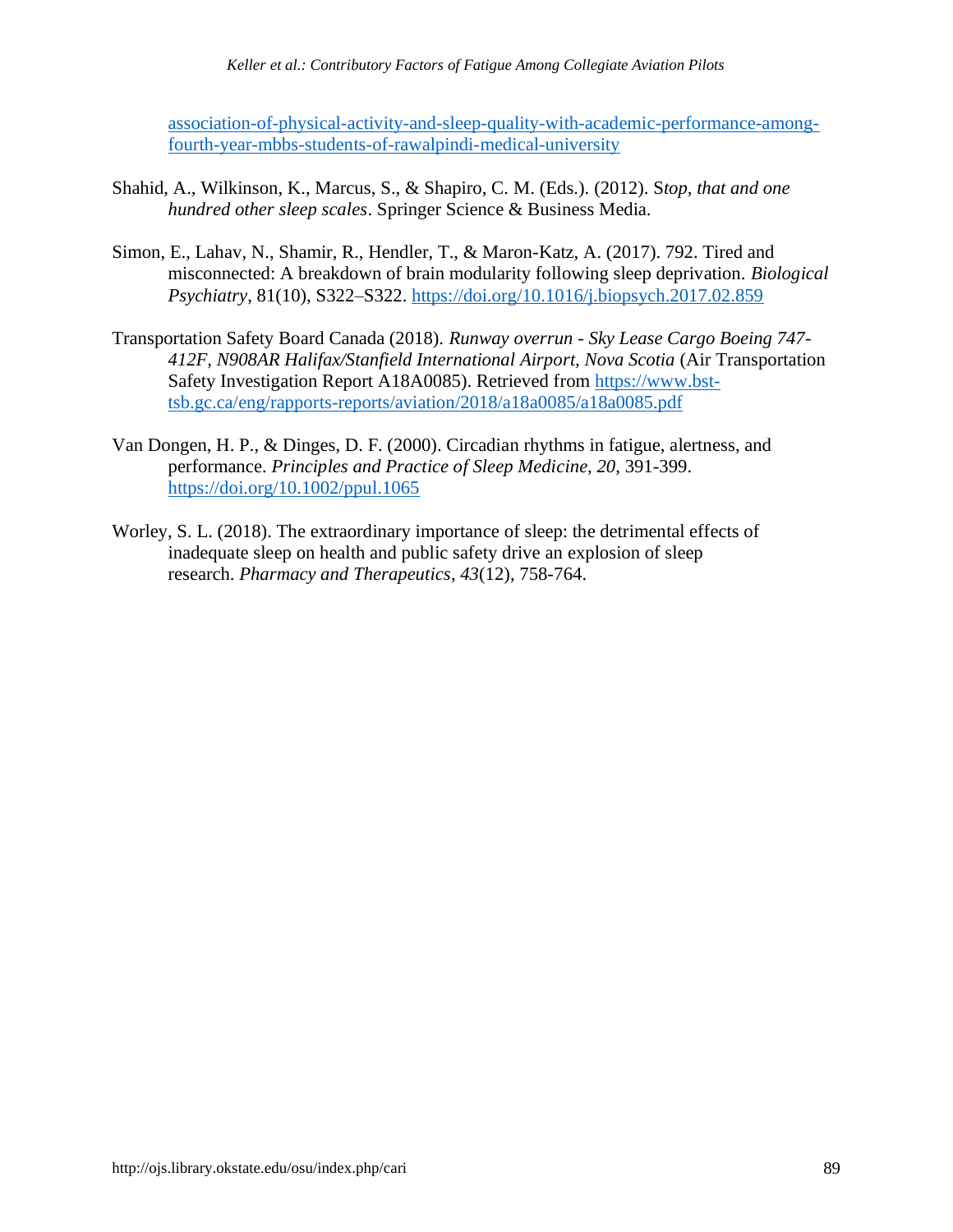[association-of-physical-activity-and-sleep-quality-with-academic-performance-among](https://www.cureus.com/articles/20835-association-of-physical-activity-and-sleep-quality-with-academic-performance-among-fourth-year-mbbs-students-of-rawalpindi-medical-university)[fourth-year-mbbs-students-of-rawalpindi-medical-university](https://www.cureus.com/articles/20835-association-of-physical-activity-and-sleep-quality-with-academic-performance-among-fourth-year-mbbs-students-of-rawalpindi-medical-university)

- Shahid, A., Wilkinson, K., Marcus, S., & Shapiro, C. M. (Eds.). (2012). S*top, that and one hundred other sleep scales*. Springer Science & Business Media.
- Simon, E., Lahav, N., Shamir, R., Hendler, T., & Maron-Katz, A. (2017). 792. Tired and misconnected: A breakdown of brain modularity following sleep deprivation. *Biological Psychiatry*, 81(10), S322–S322.<https://doi.org/10.1016/j.biopsych.2017.02.859>
- Transportation Safety Board Canada (2018). *Runway overrun - Sky Lease Cargo Boeing 747- 412F, N908AR Halifax/Stanfield International Airport, Nova Scotia* (Air Transportation Safety Investigation Report A18A0085). Retrieved from [https://www.bst](https://www.bst-tsb.gc.ca/eng/rapports-reports/aviation/2018/a18a0085/a18a0085.pdf)[tsb.gc.ca/eng/rapports-reports/aviation/2018/a18a0085/a18a0085.pdf](https://www.bst-tsb.gc.ca/eng/rapports-reports/aviation/2018/a18a0085/a18a0085.pdf)
- Van Dongen, H. P., & Dinges, D. F. (2000). Circadian rhythms in fatigue, alertness, and performance. *Principles and Practice of Sleep Medicine*, *20*, 391-399. <https://doi.org/10.1002/ppul.1065>
- Worley, S. L. (2018). The extraordinary importance of sleep: the detrimental effects of inadequate sleep on health and public safety drive an explosion of sleep research. *Pharmacy and Therapeutics*, *43*(12), 758-764.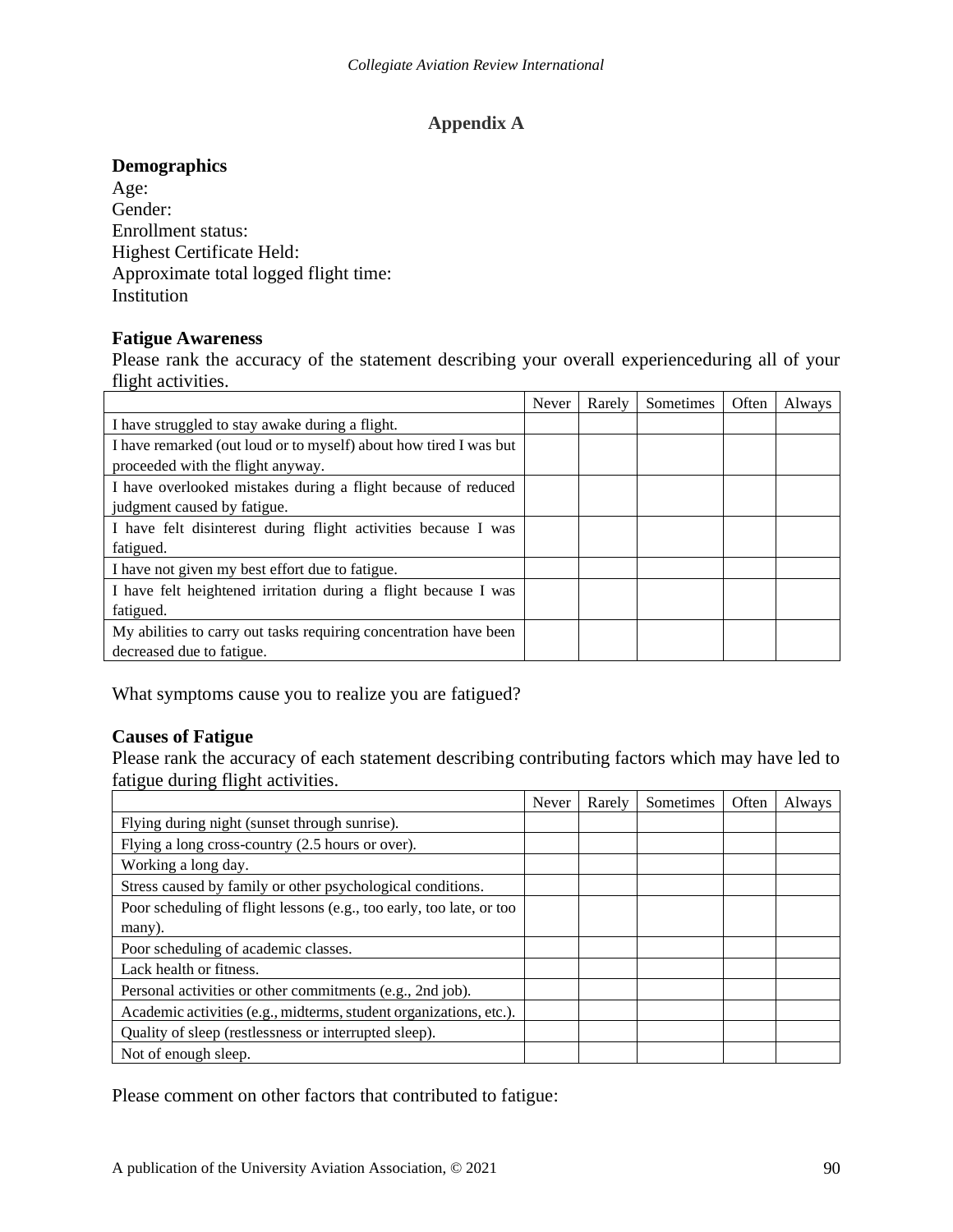#### **Appendix A**

#### **Demographics**

Age: Gender: Enrollment status: Highest Certificate Held: Approximate total logged flight time: Institution

#### **Fatigue Awareness**

Please rank the accuracy of the statement describing your overall experienceduring all of your flight activities.

|                                                                   | Never | Rarely | Sometimes | Often | Always |
|-------------------------------------------------------------------|-------|--------|-----------|-------|--------|
| I have struggled to stay awake during a flight.                   |       |        |           |       |        |
| I have remarked (out loud or to myself) about how tired I was but |       |        |           |       |        |
| proceeded with the flight anyway.                                 |       |        |           |       |        |
| I have overlooked mistakes during a flight because of reduced     |       |        |           |       |        |
| judgment caused by fatigue.                                       |       |        |           |       |        |
| I have felt disinterest during flight activities because I was    |       |        |           |       |        |
| fatigued.                                                         |       |        |           |       |        |
| I have not given my best effort due to fatigue.                   |       |        |           |       |        |
| I have felt heightened irritation during a flight because I was   |       |        |           |       |        |
| fatigued.                                                         |       |        |           |       |        |
| My abilities to carry out tasks requiring concentration have been |       |        |           |       |        |
| decreased due to fatigue.                                         |       |        |           |       |        |

What symptoms cause you to realize you are fatigued?

#### **Causes of Fatigue**

Please rank the accuracy of each statement describing contributing factors which may have led to fatigue during flight activities.

|                                                                      | Never | Rarely | Sometimes | Often | Always |
|----------------------------------------------------------------------|-------|--------|-----------|-------|--------|
| Flying during night (sunset through sunrise).                        |       |        |           |       |        |
| Flying a long cross-country (2.5 hours or over).                     |       |        |           |       |        |
| Working a long day.                                                  |       |        |           |       |        |
| Stress caused by family or other psychological conditions.           |       |        |           |       |        |
| Poor scheduling of flight lessons (e.g., too early, too late, or too |       |        |           |       |        |
| many).                                                               |       |        |           |       |        |
| Poor scheduling of academic classes.                                 |       |        |           |       |        |
| Lack health or fitness.                                              |       |        |           |       |        |
| Personal activities or other commitments (e.g., 2nd job).            |       |        |           |       |        |
| Academic activities (e.g., midterms, student organizations, etc.).   |       |        |           |       |        |
| Quality of sleep (restlessness or interrupted sleep).                |       |        |           |       |        |
| Not of enough sleep.                                                 |       |        |           |       |        |

Please comment on other factors that contributed to fatigue: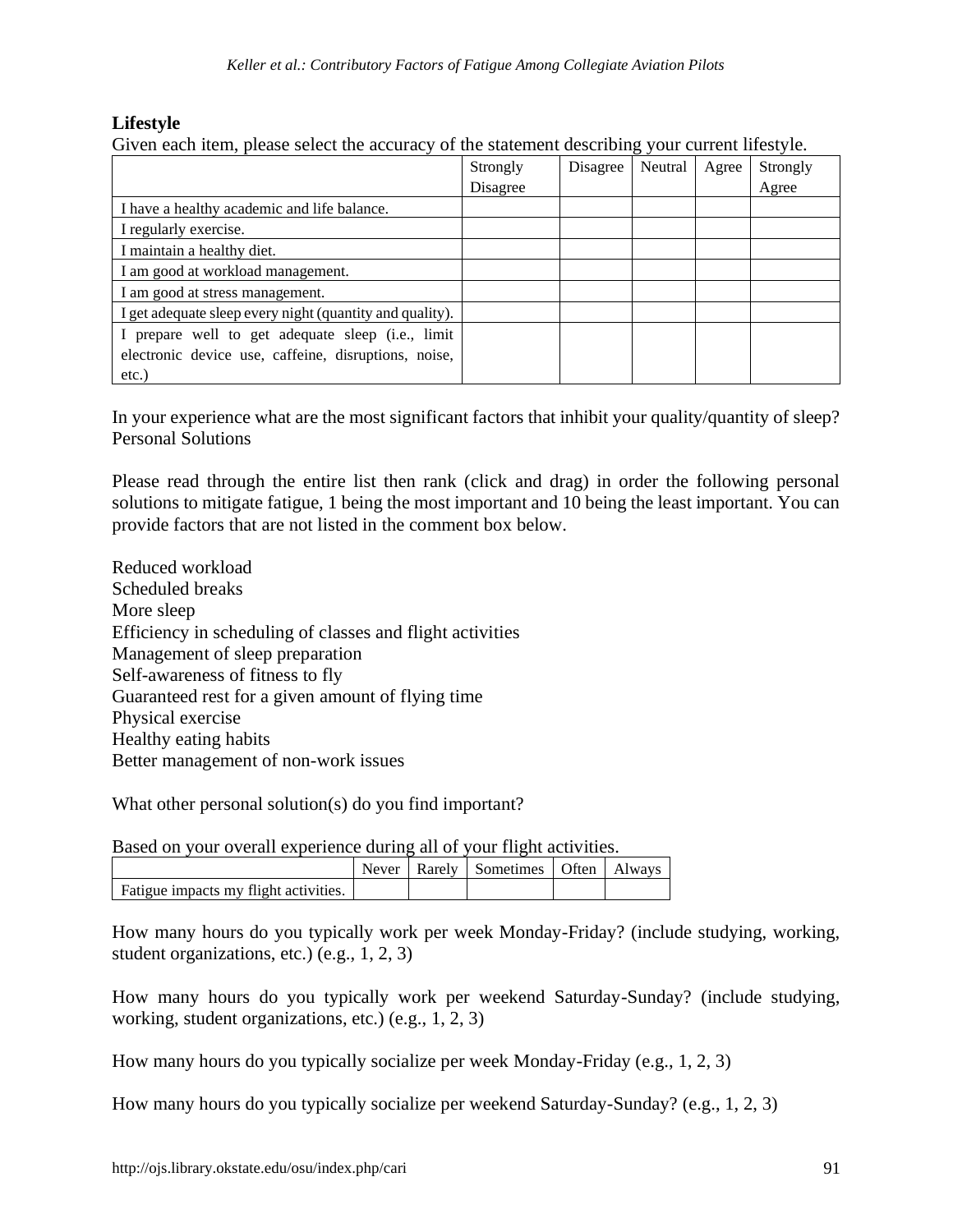#### **Lifestyle**

Given each item, please select the accuracy of the statement describing your current lifestyle.

|                                                          | Strongly | Disagree | Neutral | Agree | Strongly |
|----------------------------------------------------------|----------|----------|---------|-------|----------|
|                                                          | Disagree |          |         |       | Agree    |
| I have a healthy academic and life balance.              |          |          |         |       |          |
| I regularly exercise.                                    |          |          |         |       |          |
| I maintain a healthy diet.                               |          |          |         |       |          |
| I am good at workload management.                        |          |          |         |       |          |
| I am good at stress management.                          |          |          |         |       |          |
| I get adequate sleep every night (quantity and quality). |          |          |         |       |          |
| prepare well to get adequate sleep (i.e., limit          |          |          |         |       |          |
| electronic device use, caffeine, disruptions, noise,     |          |          |         |       |          |
| $etc.$ )                                                 |          |          |         |       |          |

In your experience what are the most significant factors that inhibit your quality/quantity of sleep? Personal Solutions

Please read through the entire list then rank (click and drag) in order the following personal solutions to mitigate fatigue, 1 being the most important and 10 being the least important. You can provide factors that are not listed in the comment box below.

Reduced workload Scheduled breaks More sleep Efficiency in scheduling of classes and flight activities Management of sleep preparation Self-awareness of fitness to fly Guaranteed rest for a given amount of flying time Physical exercise Healthy eating habits Better management of non-work issues

What other personal solution(s) do you find important?

Based on your overall experience during all of your flight activities.

|                                       |  | Never   Rarely   Sometimes   Often   Always |  |
|---------------------------------------|--|---------------------------------------------|--|
| Fatigue impacts my flight activities. |  |                                             |  |

How many hours do you typically work per week Monday-Friday? (include studying, working, student organizations, etc.) (e.g., 1, 2, 3)

How many hours do you typically work per weekend Saturday-Sunday? (include studying, working, student organizations, etc.) (e.g., 1, 2, 3)

How many hours do you typically socialize per week Monday-Friday (e.g., 1, 2, 3)

How many hours do you typically socialize per weekend Saturday-Sunday? (e.g., 1, 2, 3)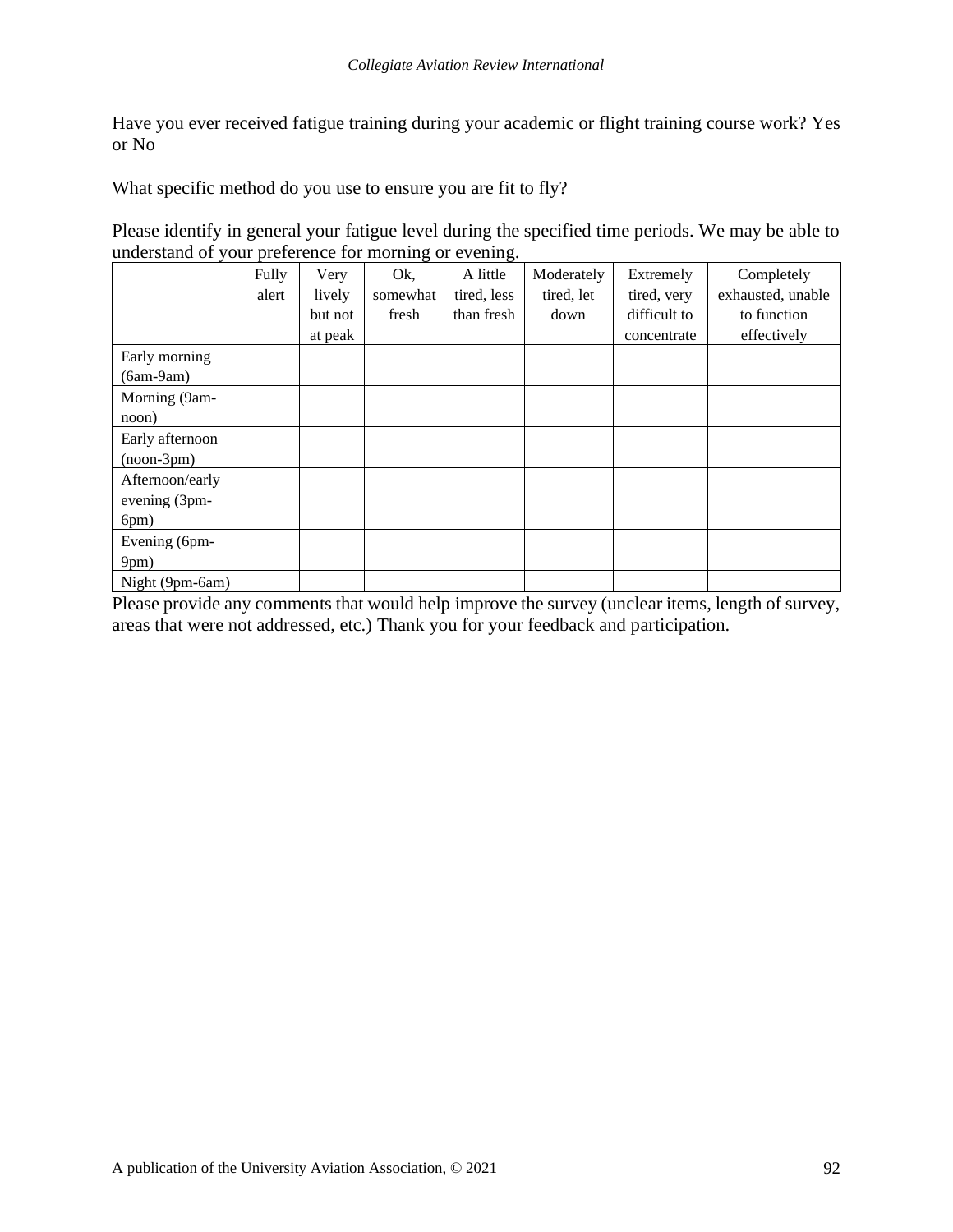Have you ever received fatigue training during your academic or flight training course work? Yes or No

What specific method do you use to ensure you are fit to fly?

Please identify in general your fatigue level during the specified time periods. We may be able to understand of your preference for morning or evening.

|                 | Fully | Very    | Ok,      | A little    | Moderately | Extremely    | Completely        |
|-----------------|-------|---------|----------|-------------|------------|--------------|-------------------|
|                 | alert | lively  | somewhat | tired, less | tired, let | tired, very  | exhausted, unable |
|                 |       | but not | fresh    | than fresh  | down       | difficult to | to function       |
|                 |       | at peak |          |             |            | concentrate  | effectively       |
| Early morning   |       |         |          |             |            |              |                   |
| $(6am-9am)$     |       |         |          |             |            |              |                   |
| Morning (9am-   |       |         |          |             |            |              |                   |
| noon)           |       |         |          |             |            |              |                   |
| Early afternoon |       |         |          |             |            |              |                   |
| $(noon-3pm)$    |       |         |          |             |            |              |                   |
| Afternoon/early |       |         |          |             |            |              |                   |
| evening (3pm-   |       |         |          |             |            |              |                   |
| 6pm)            |       |         |          |             |            |              |                   |
| Evening (6pm-   |       |         |          |             |            |              |                   |
| 9pm)            |       |         |          |             |            |              |                   |
| Night (9pm-6am) |       |         |          |             |            |              |                   |

Please provide any comments that would help improve the survey (unclear items, length of survey, areas that were not addressed, etc.) Thank you for your feedback and participation.